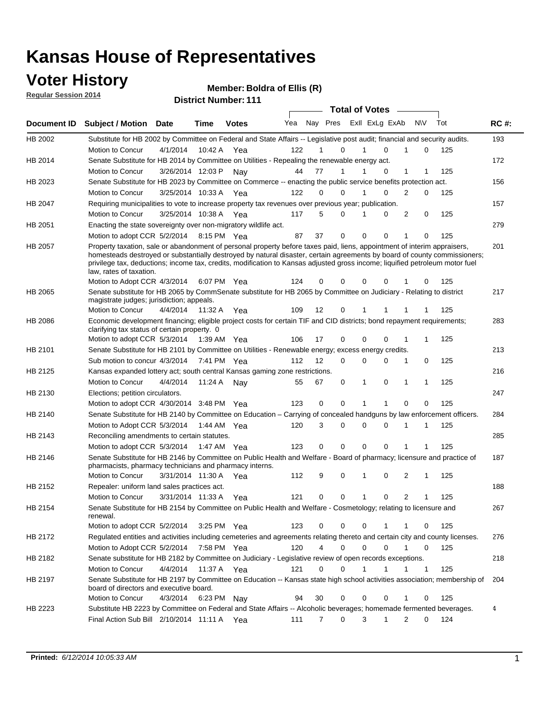# **Voter History**<br> **Regular Session 2014**<br> **Rightary District Number**

**Regular Session 2014**

**District Number: Boldra of Ellis (R)**

| <u>Regular Session 2014</u> |                                                                                                                                                                                                                                                                                                                                                                                                                  |                   |         | <b>District Number: 111</b> |                       |          |                         |   |   |        |             |     |             |
|-----------------------------|------------------------------------------------------------------------------------------------------------------------------------------------------------------------------------------------------------------------------------------------------------------------------------------------------------------------------------------------------------------------------------------------------------------|-------------------|---------|-----------------------------|-----------------------|----------|-------------------------|---|---|--------|-------------|-----|-------------|
|                             |                                                                                                                                                                                                                                                                                                                                                                                                                  |                   |         |                             | <b>Total of Votes</b> |          |                         |   |   |        |             |     |             |
| Document ID                 | <b>Subject / Motion Date</b>                                                                                                                                                                                                                                                                                                                                                                                     |                   | Time    | <b>Votes</b>                | Yea                   |          | Nay Pres Exll ExLg ExAb |   |   |        | N\V         | Tot | <b>RC#:</b> |
| HB 2002                     | Substitute for HB 2002 by Committee on Federal and State Affairs -- Legislative post audit; financial and security audits.                                                                                                                                                                                                                                                                                       |                   |         |                             |                       |          |                         |   |   |        |             |     | 193         |
|                             | <b>Motion to Concur</b>                                                                                                                                                                                                                                                                                                                                                                                          | 4/1/2014          | 10:42 A | Yea                         | 122                   | 1        | 0                       | 1 |   | 0<br>1 | 0           | 125 |             |
| HB 2014                     | Senate Substitute for HB 2014 by Committee on Utilities - Repealing the renewable energy act.                                                                                                                                                                                                                                                                                                                    |                   |         |                             |                       |          |                         |   |   |        |             |     | 172         |
|                             | <b>Motion to Concur</b>                                                                                                                                                                                                                                                                                                                                                                                          | 3/26/2014 12:03 P |         | Nay                         | 44                    | 77       | 1                       | 1 |   | 0<br>1 | 1           | 125 |             |
| HB 2023                     | Senate Substitute for HB 2023 by Committee on Commerce -- enacting the public service benefits protection act.                                                                                                                                                                                                                                                                                                   |                   |         |                             |                       |          |                         |   |   |        |             |     | 156         |
|                             | <b>Motion to Concur</b>                                                                                                                                                                                                                                                                                                                                                                                          | 3/25/2014 10:33 A |         | Yea                         | 122                   | 0        | 0                       | 1 |   | 0<br>2 | 0           | 125 |             |
| <b>HB 2047</b>              | Requiring municipalities to vote to increase property tax revenues over previous year; publication.                                                                                                                                                                                                                                                                                                              |                   |         |                             |                       |          |                         |   |   |        |             |     | 157         |
|                             | <b>Motion to Concur</b>                                                                                                                                                                                                                                                                                                                                                                                          | 3/25/2014 10:38 A |         | Yea                         | 117                   | 5        | 0                       | 1 |   | 2<br>0 | 0           | 125 |             |
| HB 2051                     | Enacting the state sovereignty over non-migratory wildlife act.                                                                                                                                                                                                                                                                                                                                                  |                   |         |                             |                       |          |                         |   |   |        |             |     | 279         |
|                             | Motion to adopt CCR 5/2/2014 8:15 PM Yea                                                                                                                                                                                                                                                                                                                                                                         |                   |         |                             | 87                    | 37       | 0                       | 0 |   | 0<br>1 | 0           | 125 |             |
| HB 2057                     | Property taxation, sale or abandonment of personal property before taxes paid, liens, appointment of interim appraisers,<br>homesteads destroyed or substantially destroyed by natural disaster, certain agreements by board of county commissioners;<br>privilege tax, deductions; income tax, credits, modification to Kansas adjusted gross income; liquified petroleum motor fuel<br>law, rates of taxation. |                   |         |                             |                       |          |                         |   |   |        |             |     | 201         |
|                             | Motion to Adopt CCR 4/3/2014                                                                                                                                                                                                                                                                                                                                                                                     |                   |         | 6:07 PM Yea                 | 124                   | 0        | $\Omega$                | 0 |   | 0<br>1 | 0           | 125 |             |
| <b>HB 2065</b>              | Senate substitute for HB 2065 by CommSenate substitute for HB 2065 by Committee on Judiciary - Relating to district<br>magistrate judges; jurisdiction; appeals.                                                                                                                                                                                                                                                 |                   |         |                             |                       |          |                         |   |   |        |             |     | 217         |
|                             | Motion to Concur                                                                                                                                                                                                                                                                                                                                                                                                 | 4/4/2014          | 11:32 A | Yea                         | 109                   | 12       | 0                       | 1 |   |        |             | 125 |             |
| HB 2086                     | Economic development financing; eligible project costs for certain TIF and CID districts; bond repayment requirements;<br>clarifying tax status of certain property. 0                                                                                                                                                                                                                                           |                   |         |                             |                       |          |                         |   |   |        |             |     | 283         |
|                             | Motion to adopt CCR 5/3/2014 1:39 AM Yea                                                                                                                                                                                                                                                                                                                                                                         |                   |         |                             | 106                   | 17       | 0                       | 0 |   | 0<br>1 | 1           | 125 |             |
| HB 2101                     | Senate Substitute for HB 2101 by Committee on Utilities - Renewable energy; excess energy credits.                                                                                                                                                                                                                                                                                                               |                   |         |                             |                       |          |                         |   |   |        |             |     | 213         |
|                             | Sub motion to concur 4/3/2014 7:41 PM Yea                                                                                                                                                                                                                                                                                                                                                                        |                   |         |                             | 112                   | 12       | 0                       | 0 |   | 0<br>1 | 0           | 125 |             |
| HB 2125                     | Kansas expanded lottery act; south central Kansas gaming zone restrictions.                                                                                                                                                                                                                                                                                                                                      |                   |         |                             |                       |          |                         |   |   |        |             |     | 216         |
|                             | Motion to Concur                                                                                                                                                                                                                                                                                                                                                                                                 | 4/4/2014          | 11:24 A | Nay                         | 55                    | 67       | 0                       | 1 |   | 0<br>1 | -1          | 125 |             |
| HB 2130                     | Elections; petition circulators.                                                                                                                                                                                                                                                                                                                                                                                 |                   |         |                             |                       |          |                         |   |   |        |             |     | 247         |
|                             | Motion to adopt CCR 4/30/2014 3:48 PM Yea                                                                                                                                                                                                                                                                                                                                                                        |                   |         |                             | 123                   | 0        | 0                       | 1 |   | 0<br>1 | 0           | 125 |             |
| HB 2140                     | Senate Substitute for HB 2140 by Committee on Education – Carrying of concealed handguns by law enforcement officers.                                                                                                                                                                                                                                                                                            |                   |         |                             |                       |          |                         |   |   |        |             |     | 284         |
|                             | Motion to Adopt CCR 5/3/2014 1:44 AM Yea                                                                                                                                                                                                                                                                                                                                                                         |                   |         |                             | 120                   | 3        | 0                       | 0 |   | 0<br>1 | 1           | 125 |             |
| HB 2143                     | Reconciling amendments to certain statutes.                                                                                                                                                                                                                                                                                                                                                                      |                   |         |                             |                       |          |                         |   |   |        |             |     | 285         |
|                             | Motion to adopt CCR 5/3/2014 1:47 AM Yea                                                                                                                                                                                                                                                                                                                                                                         |                   |         |                             | 123                   | 0        | 0                       | 0 |   | 0<br>1 | 1           | 125 |             |
| HB 2146                     | Senate Substitute for HB 2146 by Committee on Public Health and Welfare - Board of pharmacy; licensure and practice of<br>pharmacists, pharmacy technicians and pharmacy interns.                                                                                                                                                                                                                                |                   |         |                             |                       |          |                         |   |   |        |             |     | 187         |
|                             | Motion to Concur                                                                                                                                                                                                                                                                                                                                                                                                 | 3/31/2014 11:30 A |         | Yea                         | 112                   | 9        | $\Omega$                | 1 |   | 2<br>0 | 1           | 125 |             |
| HB 2152                     | Repealer: uniform land sales practices act.                                                                                                                                                                                                                                                                                                                                                                      |                   |         |                             |                       |          |                         | 1 |   | $\cap$ |             |     | 188         |
| HB 2154                     | Motion to Concur 3/31/2014 11:33 A Yea<br>Senate Substitute for HB 2154 by Committee on Public Health and Welfare - Cosmetology; relating to licensure and<br>renewal.                                                                                                                                                                                                                                           |                   |         |                             | 121                   | $\Omega$ | $\Omega$                |   |   |        |             | 125 | 267         |
|                             | Motion to adopt CCR 5/2/2014                                                                                                                                                                                                                                                                                                                                                                                     |                   |         | 3:25 PM Yea                 | 123                   | 0        | 0                       | 0 |   | 1<br>1 | 0           | 125 |             |
| HB 2172                     | Regulated entities and activities including cemeteries and agreements relating thereto and certain city and county licenses.                                                                                                                                                                                                                                                                                     |                   |         |                             |                       |          |                         |   |   |        |             |     | 276         |
|                             | Motion to Adopt CCR 5/2/2014                                                                                                                                                                                                                                                                                                                                                                                     |                   |         | 7:58 PM Yea                 | 120                   | 4        | 0                       | 0 |   | 0      | 0           | 125 |             |
| HB 2182                     | Senate substitute for HB 2182 by Committee on Judiciary - Legislative review of open records exceptions.                                                                                                                                                                                                                                                                                                         |                   |         |                             |                       |          |                         |   |   |        |             |     | 218         |
|                             | Motion to Concur                                                                                                                                                                                                                                                                                                                                                                                                 | 4/4/2014          |         | 11:37 A Yea                 | 121                   | 0        | 0                       | 1 |   |        | $\mathbf 1$ | 125 |             |
| HB 2197                     | Senate Substitute for HB 2197 by Committee on Education -- Kansas state high school activities association; membership of                                                                                                                                                                                                                                                                                        |                   |         |                             |                       |          |                         |   |   |        |             |     | 204         |
|                             | board of directors and executive board.                                                                                                                                                                                                                                                                                                                                                                          |                   |         |                             |                       |          |                         |   |   |        |             |     |             |
|                             | Motion to Concur                                                                                                                                                                                                                                                                                                                                                                                                 | 4/3/2014          |         | 6:23 PM Nay                 | 94                    | 30       | 0                       | 0 |   | 0<br>1 | 0           | 125 |             |
| HB 2223                     | Substitute HB 2223 by Committee on Federal and State Affairs -- Alcoholic beverages; homemade fermented beverages.<br>Final Action Sub Bill 2/10/2014 11:11 A Yea                                                                                                                                                                                                                                                |                   |         |                             | 111                   | 7        | 0                       |   | 3 | 2<br>1 | 0           | 124 | 4           |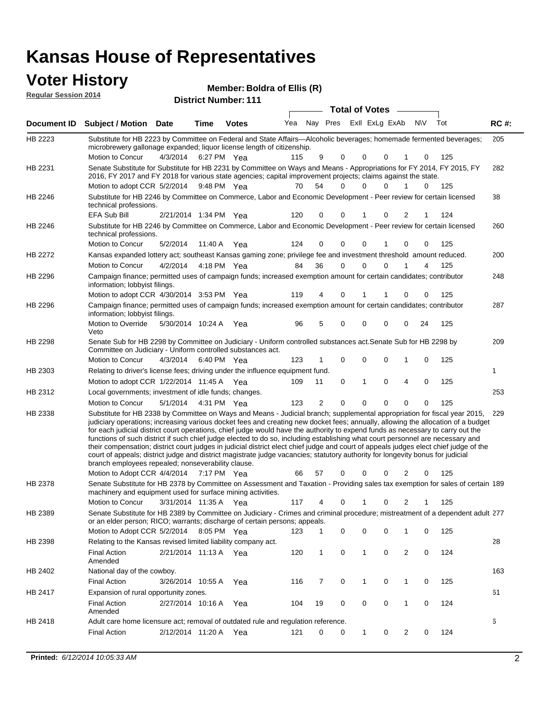### **Voter History**

**Regular Session 2014**

| noguiai ocoolori zu in |                                                                                                                                                                                                                                                                                                                                                                                                                                                                                                                                                                                                                                                                                                                                                                                                                                                                                                                 |                       |             | <b>District Number: 111</b> |     |                |                         |              |          |                |             |     |             |
|------------------------|-----------------------------------------------------------------------------------------------------------------------------------------------------------------------------------------------------------------------------------------------------------------------------------------------------------------------------------------------------------------------------------------------------------------------------------------------------------------------------------------------------------------------------------------------------------------------------------------------------------------------------------------------------------------------------------------------------------------------------------------------------------------------------------------------------------------------------------------------------------------------------------------------------------------|-----------------------|-------------|-----------------------------|-----|----------------|-------------------------|--------------|----------|----------------|-------------|-----|-------------|
|                        |                                                                                                                                                                                                                                                                                                                                                                                                                                                                                                                                                                                                                                                                                                                                                                                                                                                                                                                 |                       |             |                             |     |                | <b>Total of Votes</b>   |              |          |                |             |     |             |
| <b>Document ID</b>     | <b>Subject / Motion Date</b>                                                                                                                                                                                                                                                                                                                                                                                                                                                                                                                                                                                                                                                                                                                                                                                                                                                                                    |                       | <b>Time</b> | <b>Votes</b>                | Yea |                | Nay Pres ExII ExLg ExAb |              |          | <b>NIV</b>     |             | Tot | <b>RC#:</b> |
| HB 2223                | Substitute for HB 2223 by Committee on Federal and State Affairs—Alcoholic beverages; homemade fermented beverages;<br>microbrewery gallonage expanded; liquor license length of citizenship.                                                                                                                                                                                                                                                                                                                                                                                                                                                                                                                                                                                                                                                                                                                   |                       |             |                             |     |                |                         |              |          |                |             |     | 205         |
|                        | Motion to Concur                                                                                                                                                                                                                                                                                                                                                                                                                                                                                                                                                                                                                                                                                                                                                                                                                                                                                                | 4/3/2014              |             | 6:27 PM Yea                 | 115 | 9              | 0                       | 0            | 0        |                | 0           | 125 |             |
| HB 2231                | Senate Substitute for Substitute for HB 2231 by Committee on Ways and Means - Appropriations for FY 2014, FY 2015, FY<br>2016, FY 2017 and FY 2018 for various state agencies; capital improvement projects; claims against the state.<br>Motion to adopt CCR 5/2/2014                                                                                                                                                                                                                                                                                                                                                                                                                                                                                                                                                                                                                                          |                       |             | 9:48 PM Yea                 | 70  | 54             | $\Omega$                | 0            | $\Omega$ | 1              | 0           | 125 | 282         |
|                        |                                                                                                                                                                                                                                                                                                                                                                                                                                                                                                                                                                                                                                                                                                                                                                                                                                                                                                                 |                       |             |                             |     |                |                         |              |          |                |             |     |             |
| HB 2246                | Substitute for HB 2246 by Committee on Commerce, Labor and Economic Development - Peer review for certain licensed<br>technical professions.<br><b>EFA Sub Bill</b>                                                                                                                                                                                                                                                                                                                                                                                                                                                                                                                                                                                                                                                                                                                                             | 2/21/2014 1:34 PM Yea |             |                             | 120 | 0              | $\Omega$                |              | 0        | 2              |             | 124 | 38          |
| HB 2246                | Substitute for HB 2246 by Committee on Commerce, Labor and Economic Development - Peer review for certain licensed                                                                                                                                                                                                                                                                                                                                                                                                                                                                                                                                                                                                                                                                                                                                                                                              |                       |             |                             |     |                |                         |              |          |                |             |     | 260         |
|                        | technical professions.                                                                                                                                                                                                                                                                                                                                                                                                                                                                                                                                                                                                                                                                                                                                                                                                                                                                                          |                       |             |                             |     |                | 0                       | 0            |          | 0              |             |     |             |
|                        | Motion to Concur                                                                                                                                                                                                                                                                                                                                                                                                                                                                                                                                                                                                                                                                                                                                                                                                                                                                                                | 5/2/2014              |             | 11:40 A Yea                 | 124 | 0              |                         |              |          |                | 0           | 125 |             |
| HB 2272                | Kansas expanded lottery act; southeast Kansas gaming zone; privilege fee and investment threshold amount reduced.                                                                                                                                                                                                                                                                                                                                                                                                                                                                                                                                                                                                                                                                                                                                                                                               |                       |             |                             |     |                |                         |              |          |                |             |     | 200         |
|                        | Motion to Concur                                                                                                                                                                                                                                                                                                                                                                                                                                                                                                                                                                                                                                                                                                                                                                                                                                                                                                | 4/2/2014              |             | 4:18 PM Yea                 | 84  | 36             | $\mathbf 0$             | 0            | 0        |                | 4           | 125 |             |
| HB 2296                | Campaign finance; permitted uses of campaign funds; increased exemption amount for certain candidates; contributor<br>information; lobbyist filings.                                                                                                                                                                                                                                                                                                                                                                                                                                                                                                                                                                                                                                                                                                                                                            |                       |             |                             |     |                |                         |              |          |                |             |     | 248         |
|                        | Motion to adopt CCR 4/30/2014 3:53 PM Yea                                                                                                                                                                                                                                                                                                                                                                                                                                                                                                                                                                                                                                                                                                                                                                                                                                                                       |                       |             |                             | 119 | 4              | $\mathbf 0$             | 1            |          | 0              | 0           | 125 |             |
| HB 2296                | Campaign finance; permitted uses of campaign funds; increased exemption amount for certain candidates; contributor<br>information; lobbyist filings.                                                                                                                                                                                                                                                                                                                                                                                                                                                                                                                                                                                                                                                                                                                                                            |                       |             |                             |     |                |                         |              |          |                |             |     | 287         |
|                        | Motion to Override<br>Veto                                                                                                                                                                                                                                                                                                                                                                                                                                                                                                                                                                                                                                                                                                                                                                                                                                                                                      | 5/30/2014 10:24 A     |             | Yea                         | 96  | 5              | 0                       | $\mathbf 0$  | $\Omega$ | 0              | 24          | 125 |             |
| HB 2298                | Senate Sub for HB 2298 by Committee on Judiciary - Uniform controlled substances act. Senate Sub for HB 2298 by<br>Committee on Judiciary - Uniform controlled substances act.                                                                                                                                                                                                                                                                                                                                                                                                                                                                                                                                                                                                                                                                                                                                  |                       |             |                             |     |                |                         |              |          |                |             |     | 209         |
|                        | Motion to Concur                                                                                                                                                                                                                                                                                                                                                                                                                                                                                                                                                                                                                                                                                                                                                                                                                                                                                                | 4/3/2014              |             | 6:40 PM Yea                 | 123 |                | $\mathbf 0$             | $\mathbf 0$  | $\Omega$ |                | $\mathbf 0$ | 125 |             |
| HB 2303                | Relating to driver's license fees; driving under the influence equipment fund.                                                                                                                                                                                                                                                                                                                                                                                                                                                                                                                                                                                                                                                                                                                                                                                                                                  |                       |             |                             |     |                |                         |              |          |                |             |     | 1           |
|                        | Motion to adopt CCR 1/22/2014 11:45 A Yea                                                                                                                                                                                                                                                                                                                                                                                                                                                                                                                                                                                                                                                                                                                                                                                                                                                                       |                       |             |                             | 109 | 11             | 0                       | 1            | 0        | 4              | 0           | 125 |             |
| HB 2312                | Local governments; investment of idle funds; changes.                                                                                                                                                                                                                                                                                                                                                                                                                                                                                                                                                                                                                                                                                                                                                                                                                                                           |                       |             |                             |     |                |                         |              |          |                |             |     | 253         |
|                        | Motion to Concur                                                                                                                                                                                                                                                                                                                                                                                                                                                                                                                                                                                                                                                                                                                                                                                                                                                                                                | 5/1/2014              |             | 4:31 PM Yea                 | 123 | $\overline{2}$ | $\Omega$                | $\Omega$     | $\Omega$ | $\Omega$       | $\Omega$    | 125 |             |
| HB 2338                | Substitute for HB 2338 by Committee on Ways and Means - Judicial branch; supplemental appropriation for fiscal year 2015,<br>judiciary operations; increasing various docket fees and creating new docket fees; annually, allowing the allocation of a budget<br>for each judicial district court operations, chief judge would have the authority to expend funds as necessary to carry out the<br>functions of such district if such chief judge elected to do so, including establishing what court personnel are necessary and<br>their compensation; district court judges in judicial district elect chief judge and court of appeals judges elect chief judge of the<br>court of appeals; district judge and district magistrate judge vacancies; statutory authority for longevity bonus for judicial<br>branch employees repealed; nonseverability clause.<br>Motion to Adopt CCR 4/4/2014 7:17 PM Yea |                       |             |                             | 66  | 57             | 0                       | 0            | 0        | 2              | 0           | 125 | 229         |
| HB 2378                | Senate Substitute for HB 2378 by Committee on Assessment and Taxation - Providing sales tax exemption for sales of certain 189<br>machinery and equipment used for surface mining activities.                                                                                                                                                                                                                                                                                                                                                                                                                                                                                                                                                                                                                                                                                                                   |                       |             |                             |     |                |                         |              |          |                |             |     |             |
|                        | Motion to Concur                                                                                                                                                                                                                                                                                                                                                                                                                                                                                                                                                                                                                                                                                                                                                                                                                                                                                                | 3/31/2014 11:35 A     |             | Yea                         | 117 | 4              | 0                       | 1            | 0        | 2              |             | 125 |             |
| HB 2389                | Senate Substitute for HB 2389 by Committee on Judiciary - Crimes and criminal procedure; mistreatment of a dependent adult 277<br>or an elder person; RICO; warrants; discharge of certain persons; appeals.                                                                                                                                                                                                                                                                                                                                                                                                                                                                                                                                                                                                                                                                                                    |                       |             |                             |     |                |                         |              |          |                |             |     |             |
|                        | Motion to Adopt CCR 5/2/2014 8:05 PM Yea                                                                                                                                                                                                                                                                                                                                                                                                                                                                                                                                                                                                                                                                                                                                                                                                                                                                        |                       |             |                             | 123 |                | 0                       | 0            | 0        | 1              | 0           | 125 |             |
| HB 2398                | Relating to the Kansas revised limited liability company act.                                                                                                                                                                                                                                                                                                                                                                                                                                                                                                                                                                                                                                                                                                                                                                                                                                                   |                       |             |                             |     |                |                         |              |          |                |             |     | 28          |
|                        | <b>Final Action</b><br>Amended                                                                                                                                                                                                                                                                                                                                                                                                                                                                                                                                                                                                                                                                                                                                                                                                                                                                                  | 2/21/2014 11:13 A Yea |             |                             | 120 | 1              | 0                       | 1            | 0        | $\overline{c}$ | 0           | 124 |             |
| HB 2402                | National day of the cowboy.                                                                                                                                                                                                                                                                                                                                                                                                                                                                                                                                                                                                                                                                                                                                                                                                                                                                                     |                       |             |                             |     |                |                         |              |          |                |             |     | 163         |
|                        | <b>Final Action</b>                                                                                                                                                                                                                                                                                                                                                                                                                                                                                                                                                                                                                                                                                                                                                                                                                                                                                             | 3/26/2014 10:55 A     |             | Yea                         | 116 | 7              | 0                       | 1            | 0        | $\mathbf 1$    | 0           | 125 |             |
| HB 2417                | Expansion of rural opportunity zones.                                                                                                                                                                                                                                                                                                                                                                                                                                                                                                                                                                                                                                                                                                                                                                                                                                                                           |                       |             |                             |     |                |                         |              |          |                |             |     | 61          |
|                        | <b>Final Action</b><br>Amended                                                                                                                                                                                                                                                                                                                                                                                                                                                                                                                                                                                                                                                                                                                                                                                                                                                                                  | 2/27/2014 10:16 A     |             | Yea                         | 104 | 19             | 0                       | 0            | 0        | 1              | 0           | 124 |             |
| HB 2418                | Adult care home licensure act; removal of outdated rule and regulation reference.                                                                                                                                                                                                                                                                                                                                                                                                                                                                                                                                                                                                                                                                                                                                                                                                                               |                       |             |                             |     |                |                         |              |          |                |             |     | 6           |
|                        | <b>Final Action</b>                                                                                                                                                                                                                                                                                                                                                                                                                                                                                                                                                                                                                                                                                                                                                                                                                                                                                             | 2/12/2014 11:20 A     |             | Yea                         | 121 | 0              | 0                       | $\mathbf{1}$ | 0        | 2              | 0           | 124 |             |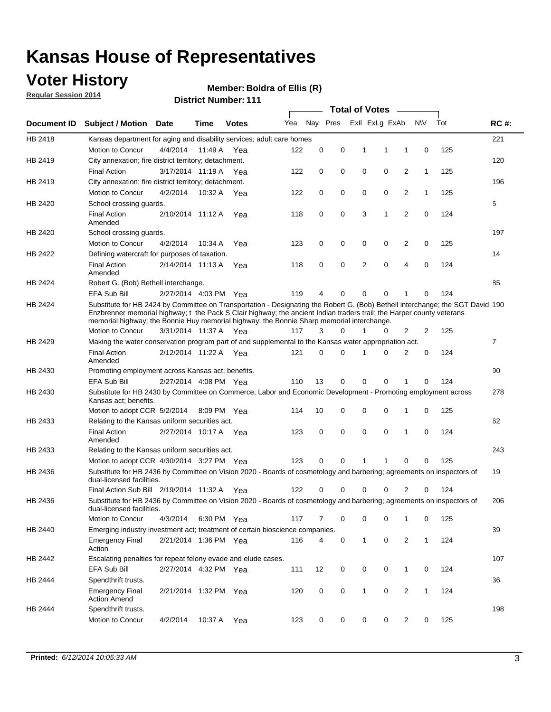### **Voter History**

**Regular Session 2014**

#### **Boldra of Ellis (R)**

|             |                                                                                                                                                                                                                                                                                                                                                      |                       |             | <b>DISUILLINUIIINGI. III</b> |     |    |          | <b>Total of Votes</b> |                |                         |              |     |                |
|-------------|------------------------------------------------------------------------------------------------------------------------------------------------------------------------------------------------------------------------------------------------------------------------------------------------------------------------------------------------------|-----------------------|-------------|------------------------------|-----|----|----------|-----------------------|----------------|-------------------------|--------------|-----|----------------|
| Document ID | <b>Subject / Motion Date</b>                                                                                                                                                                                                                                                                                                                         |                       | Time        | <b>Votes</b>                 | Yea |    | Nay Pres |                       | Exll ExLg ExAb |                         | <b>NV</b>    | Tot | <b>RC#:</b>    |
| HB 2418     | Kansas department for aging and disability services; adult care homes                                                                                                                                                                                                                                                                                |                       |             |                              |     |    |          |                       |                |                         |              |     | 221            |
|             | Motion to Concur                                                                                                                                                                                                                                                                                                                                     | 4/4/2014              | 11:49 A     | Yea                          | 122 | 0  | 0        | 1                     | 1              | 1                       | 0            | 125 |                |
| HB 2419     | City annexation; fire district territory; detachment.                                                                                                                                                                                                                                                                                                |                       |             |                              |     |    |          |                       |                |                         |              |     | 120            |
|             | <b>Final Action</b>                                                                                                                                                                                                                                                                                                                                  | 3/17/2014 11:19 A     |             | Yea                          | 122 | 0  | 0        | $\mathbf 0$           | 0              | $\overline{2}$          | $\mathbf{1}$ | 125 |                |
| HB 2419     | City annexation; fire district territory; detachment.                                                                                                                                                                                                                                                                                                |                       |             |                              |     |    |          |                       |                |                         |              |     | 196            |
|             | Motion to Concur                                                                                                                                                                                                                                                                                                                                     | 4/2/2014              | 10:32 A Yea |                              | 122 | 0  | 0        | $\mathbf 0$           | 0              | 2                       | $\mathbf{1}$ | 125 |                |
| HB 2420     | School crossing guards.                                                                                                                                                                                                                                                                                                                              |                       |             |                              |     |    |          |                       |                |                         |              |     | 5              |
|             | <b>Final Action</b><br>Amended                                                                                                                                                                                                                                                                                                                       | 2/10/2014 11:12 A     |             | Yea                          | 118 | 0  | 0        | 3                     | 1              | $\overline{2}$          | 0            | 124 |                |
| HB 2420     | School crossing guards.                                                                                                                                                                                                                                                                                                                              |                       |             |                              |     |    |          |                       |                |                         |              |     | 197            |
|             | Motion to Concur                                                                                                                                                                                                                                                                                                                                     | 4/2/2014              | 10:34 A     | Yea                          | 123 | 0  | 0        | 0                     | 0              | $\overline{\mathbf{c}}$ | 0            | 125 |                |
| HB 2422     | Defining watercraft for purposes of taxation.                                                                                                                                                                                                                                                                                                        |                       |             |                              |     |    |          |                       |                |                         |              |     | 14             |
|             | <b>Final Action</b><br>Amended                                                                                                                                                                                                                                                                                                                       | 2/14/2014 11:13 A     |             | Yea                          | 118 | 0  | 0        | 2                     | $\mathbf 0$    | $\overline{4}$          | 0            | 124 |                |
| HB 2424     | Robert G. (Bob) Bethell interchange.                                                                                                                                                                                                                                                                                                                 |                       |             |                              |     |    |          |                       |                |                         |              |     | 85             |
|             | <b>EFA Sub Bill</b>                                                                                                                                                                                                                                                                                                                                  | 2/27/2014 4:03 PM Yea |             |                              | 119 | 4  | 0        | 0                     | 0              | 1                       | 0            | 124 |                |
| HB 2424     | Substitute for HB 2424 by Committee on Transportation - Designating the Robert G. (Bob) Bethell interchange; the SGT David 190<br>Enzbrenner memorial highway; t the Pack S Clair highway; the ancient Indian traders trail; the Harper county veterans<br>memorial highway; the Bonnie Huy memorial highway; the Bonnie Sharp memorial interchange. |                       |             |                              |     |    |          |                       |                |                         |              |     |                |
|             | Motion to Concur                                                                                                                                                                                                                                                                                                                                     | 3/31/2014 11:37 A Yea |             |                              | 117 | 3  | 0        | $\mathbf{1}$          | 0              | $\overline{2}$          | 2            | 125 |                |
| HB 2429     | Making the water conservation program part of and supplemental to the Kansas water appropriation act.                                                                                                                                                                                                                                                |                       |             |                              |     |    |          |                       |                |                         |              |     | $\overline{7}$ |
|             | <b>Final Action</b><br>Amended                                                                                                                                                                                                                                                                                                                       | 2/12/2014 11:22 A     |             | Yea                          | 121 | 0  | 0        | 1                     | $\Omega$       | $\overline{2}$          | 0            | 124 |                |
| HB 2430     | Promoting employment across Kansas act; benefits.                                                                                                                                                                                                                                                                                                    |                       |             |                              |     |    |          |                       |                |                         |              |     | 90             |
|             | EFA Sub Bill                                                                                                                                                                                                                                                                                                                                         | 2/27/2014 4:08 PM Yea |             |                              | 110 | 13 | 0        | $\mathbf 0$           | 0              | 1                       | 0            | 124 |                |
| HB 2430     | Substitute for HB 2430 by Committee on Commerce, Labor and Economic Development - Promoting employment across<br>Kansas act; benefits.                                                                                                                                                                                                               |                       |             |                              |     |    |          |                       |                |                         |              |     | 278            |
|             | Motion to adopt CCR 5/2/2014 8:09 PM Yea                                                                                                                                                                                                                                                                                                             |                       |             |                              | 114 | 10 | 0        | 0                     | 0              | 1                       | 0            | 125 |                |
| HB 2433     | Relating to the Kansas uniform securities act.                                                                                                                                                                                                                                                                                                       |                       |             |                              |     |    |          |                       |                |                         |              |     | 62             |
|             | <b>Final Action</b><br>Amended                                                                                                                                                                                                                                                                                                                       | 2/27/2014 10:17 A Yea |             |                              | 123 | 0  | 0        | $\mathbf 0$           | $\mathbf 0$    | 1                       | 0            | 124 |                |
| HB 2433     | Relating to the Kansas uniform securities act.                                                                                                                                                                                                                                                                                                       |                       |             |                              |     |    |          |                       |                |                         |              |     | 243            |
|             | Motion to adopt CCR 4/30/2014 3:27 PM Yea                                                                                                                                                                                                                                                                                                            |                       |             |                              | 123 | 0  | 0        | 1                     | 1              | $\mathbf 0$             | 0            | 125 |                |
| HB 2436     | Substitute for HB 2436 by Committee on Vision 2020 - Boards of cosmetology and barbering; agreements on inspectors of<br>dual-licensed facilities.                                                                                                                                                                                                   |                       |             |                              |     |    |          |                       |                |                         |              |     | 19             |
|             | Final Action Sub Bill 2/19/2014 11:32 A                                                                                                                                                                                                                                                                                                              |                       |             | Yea                          | 122 | 0  | 0        | 0                     | 0              | $\overline{2}$          | 0            | 124 |                |
| HB 2436     | Substitute for HB 2436 by Committee on Vision 2020 - Boards of cosmetology and barbering; agreements on inspectors of<br>dual-licensed facilities.                                                                                                                                                                                                   |                       |             |                              |     |    |          |                       |                |                         |              |     | 206            |
|             | Motion to Concur                                                                                                                                                                                                                                                                                                                                     | 4/3/2014              |             | 6:30 PM Yea                  | 117 | 7  | 0        | 0                     | 0              | 1                       | 0            | 125 |                |
| HB 2440     | Emerging industry investment act; treatment of certain bioscience companies.                                                                                                                                                                                                                                                                         |                       |             |                              |     |    |          |                       |                |                         |              |     | 39             |
|             | <b>Emergency Final</b><br>Action                                                                                                                                                                                                                                                                                                                     | 2/21/2014 1:36 PM Yea |             |                              | 116 | 4  | 0        | $\mathbf{1}$          | 0              | 2                       | $\mathbf{1}$ | 124 |                |
| HB 2442     | Escalating penalties for repeat felony evade and elude cases.                                                                                                                                                                                                                                                                                        |                       |             |                              |     |    |          |                       |                |                         |              |     | 107            |
|             | EFA Sub Bill                                                                                                                                                                                                                                                                                                                                         | 2/27/2014 4:32 PM Yea |             |                              | 111 | 12 | 0        | 0                     | 0              | 1                       | 0            | 124 |                |
| HB 2444     | Spendthrift trusts.                                                                                                                                                                                                                                                                                                                                  |                       |             |                              |     |    |          |                       |                |                         |              |     | 36             |
|             | <b>Emergency Final</b><br><b>Action Amend</b>                                                                                                                                                                                                                                                                                                        | 2/21/2014 1:32 PM Yea |             |                              | 120 | 0  | 0        | $\mathbf{1}$          | 0              | $\overline{2}$          | $\mathbf{1}$ | 124 |                |
| HB 2444     | Spendthrift trusts.                                                                                                                                                                                                                                                                                                                                  |                       |             |                              |     |    |          |                       |                |                         |              |     | 198            |
|             | Motion to Concur                                                                                                                                                                                                                                                                                                                                     | 4/2/2014              | 10:37 A     | Yea                          | 123 | 0  | 0        | 0                     | 0              | $\overline{2}$          | 0            | 125 |                |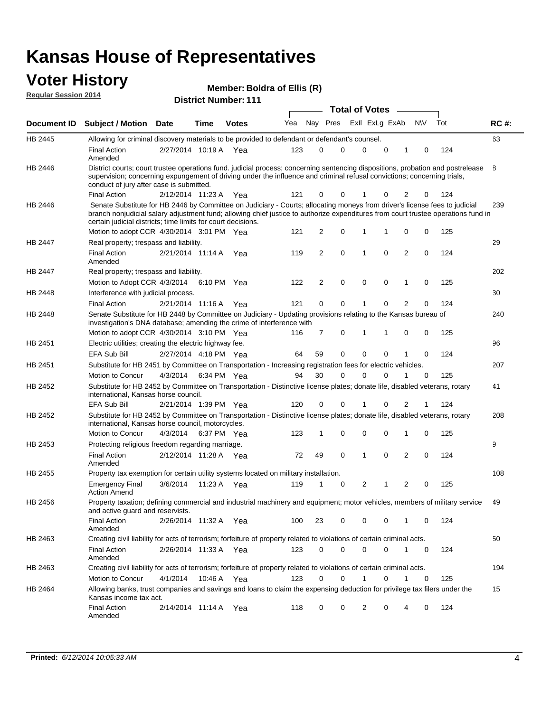#### **Voter History Regular Session 2014**

| Member: Boldra of Ellis (R) |  |
|-----------------------------|--|
|-----------------------------|--|

|                |                                                                                                                                                                                                                                                                                                                                 |                       |      |             |     |          |             | <b>Total of Votes</b> |             |                |             |     |             |
|----------------|---------------------------------------------------------------------------------------------------------------------------------------------------------------------------------------------------------------------------------------------------------------------------------------------------------------------------------|-----------------------|------|-------------|-----|----------|-------------|-----------------------|-------------|----------------|-------------|-----|-------------|
|                | Document ID Subject / Motion Date                                                                                                                                                                                                                                                                                               |                       | Time | Votes       | Yea | Nay Pres |             | Exll ExLg ExAb        |             |                | <b>NV</b>   | Tot | <b>RC#:</b> |
| <b>HB 2445</b> | Allowing for criminal discovery materials to be provided to defendant or defendant's counsel.                                                                                                                                                                                                                                   |                       |      |             |     |          |             |                       |             |                |             |     | 63          |
|                | <b>Final Action</b><br>Amended                                                                                                                                                                                                                                                                                                  | 2/27/2014 10:19 A Yea |      |             | 123 | 0        | 0           | 0                     | 0           | 1              | 0           | 124 |             |
| HB 2446        | District courts; court trustee operations fund. judicial process; concerning sentencing dispositions, probation and postrelease<br>supervision; concerning expungement of driving under the influence and criminal refusal convictions; concerning trials,<br>conduct of jury after case is submitted.                          |                       |      |             |     |          |             |                       |             |                |             |     | 8           |
|                | <b>Final Action</b>                                                                                                                                                                                                                                                                                                             | 2/12/2014 11:23 A Yea |      |             | 121 | 0        | 0           |                       | 0           | 2              | 0           | 124 |             |
| HB 2446        | Senate Substitute for HB 2446 by Committee on Judiciary - Courts; allocating moneys from driver's license fees to judicial<br>branch nonjudicial salary adjustment fund; allowing chief justice to authorize expenditures from court trustee operations fund in<br>certain judicial districts; time limits for court decisions. |                       |      |             |     |          |             |                       |             |                |             |     | 239         |
|                | Motion to adopt CCR 4/30/2014 3:01 PM Yea                                                                                                                                                                                                                                                                                       |                       |      |             | 121 | 2        | 0           | 1                     | 1           | 0              | 0           | 125 |             |
| <b>HB 2447</b> | Real property; trespass and liability.                                                                                                                                                                                                                                                                                          |                       |      |             |     |          |             |                       |             |                |             |     | 29          |
|                | <b>Final Action</b><br>Amended                                                                                                                                                                                                                                                                                                  | 2/21/2014 11:14 A Yea |      |             | 119 | 2        | $\mathbf 0$ | $\mathbf 1$           | $\mathbf 0$ | 2              | 0           | 124 |             |
| <b>HB 2447</b> | Real property; trespass and liability.                                                                                                                                                                                                                                                                                          |                       |      |             |     |          |             |                       |             |                |             |     | 202         |
|                | Motion to Adopt CCR 4/3/2014                                                                                                                                                                                                                                                                                                    |                       |      | 6:10 PM Yea | 122 | 2        | $\mathbf 0$ | $\mathbf 0$           | $\mathbf 0$ | 1              | 0           | 125 |             |
| <b>HB 2448</b> | Interference with judicial process.                                                                                                                                                                                                                                                                                             |                       |      |             |     |          |             |                       |             |                |             |     | 30          |
|                | <b>Final Action</b>                                                                                                                                                                                                                                                                                                             | 2/21/2014 11:16 A Yea |      |             | 121 | 0        | 0           | 1                     | 0           | $\overline{2}$ | 0           | 124 |             |
| HB 2448        | Senate Substitute for HB 2448 by Committee on Judiciary - Updating provisions relating to the Kansas bureau of<br>investigation's DNA database; amending the crime of interference with                                                                                                                                         |                       |      |             |     |          |             |                       |             |                |             |     | 240         |
|                | Motion to adopt CCR 4/30/2014 3:10 PM Yea                                                                                                                                                                                                                                                                                       |                       |      |             | 116 | 7        | 0           | 1                     | 1           | 0              | 0           | 125 |             |
| HB 2451        | Electric utilities; creating the electric highway fee.                                                                                                                                                                                                                                                                          |                       |      |             |     |          |             |                       |             |                |             |     | 96          |
|                | <b>EFA Sub Bill</b>                                                                                                                                                                                                                                                                                                             | 2/27/2014 4:18 PM Yea |      |             | 64  | 59       | 0           | $\mathbf 0$           | 0           | 1              | 0           | 124 |             |
| HB 2451        | Substitute for HB 2451 by Committee on Transportation - Increasing registration fees for electric vehicles.                                                                                                                                                                                                                     |                       |      |             |     |          |             |                       |             |                |             |     | 207         |
|                | Motion to Concur                                                                                                                                                                                                                                                                                                                | 4/3/2014              |      | 6:34 PM Yea | 94  | 30       | 0           | $\Omega$              | 0           |                | 0           | 125 |             |
| HB 2452        | Substitute for HB 2452 by Committee on Transportation - Distinctive license plates; donate life, disabled veterans, rotary<br>international, Kansas horse council.                                                                                                                                                              |                       |      |             |     |          |             |                       |             |                |             |     | 41          |
|                | <b>EFA Sub Bill</b>                                                                                                                                                                                                                                                                                                             | 2/21/2014 1:39 PM Yea |      |             | 120 | 0        | 0           |                       | 0           | 2              | 1           | 124 |             |
| HB 2452        | Substitute for HB 2452 by Committee on Transportation - Distinctive license plates; donate life, disabled veterans, rotary<br>international, Kansas horse council, motorcycles.                                                                                                                                                 |                       |      |             |     |          |             |                       |             |                |             |     | 208         |
|                | Motion to Concur                                                                                                                                                                                                                                                                                                                | 4/3/2014              |      | 6:37 PM Yea | 123 | 1        | 0           | $\mathbf 0$           | 0           | 1              | 0           | 125 |             |
| HB 2453        | Protecting religious freedom regarding marriage.                                                                                                                                                                                                                                                                                |                       |      |             |     |          |             |                       |             |                |             |     | 9           |
|                | <b>Final Action</b><br>Amended                                                                                                                                                                                                                                                                                                  | 2/12/2014 11:28 A Yea |      |             | 72  | 49       | $\mathbf 0$ | $\mathbf{1}$          | $\Omega$    | 2              | 0           | 124 |             |
| HB 2455        | Property tax exemption for certain utility systems located on military installation.                                                                                                                                                                                                                                            |                       |      |             |     |          |             |                       |             |                |             |     | 108         |
|                | <b>Emergency Final</b><br><b>Action Amend</b>                                                                                                                                                                                                                                                                                   | 3/6/2014              |      | 11:23 A Yea | 119 | 1        | 0           | 2                     | 1           | 2              | 0           | 125 |             |
| HB 2456        | Property taxation; defining commercial and industrial machinery and equipment; motor vehicles, members of military service<br>and active guard and reservists.                                                                                                                                                                  |                       |      |             |     |          |             |                       |             |                |             |     | 49          |
|                | <b>Final Action</b><br>Amended                                                                                                                                                                                                                                                                                                  | 2/26/2014 11:32 A Yea |      |             | 100 | 23       | 0           | 0                     | 0           | 1              | 0           | 124 |             |
| HB 2463        | Creating civil liability for acts of terrorism; forfeiture of property related to violations of certain criminal acts.                                                                                                                                                                                                          |                       |      |             |     |          |             |                       |             |                |             |     | 50          |
|                | <b>Final Action</b><br>Amended                                                                                                                                                                                                                                                                                                  | 2/26/2014 11:33 A Yea |      |             | 123 | 0        | 0           | $\mathbf 0$           | $\mathbf 0$ | $\mathbf{1}$   | $\mathbf 0$ | 124 |             |
| HB 2463        | Creating civil liability for acts of terrorism; forfeiture of property related to violations of certain criminal acts.                                                                                                                                                                                                          |                       |      |             |     |          |             |                       |             |                |             |     | 194         |
|                | Motion to Concur                                                                                                                                                                                                                                                                                                                | 4/1/2014              |      | 10:46 A Yea | 123 | 0        | 0           | $\mathbf{1}$          | 0           | $\mathbf{1}$   | 0           | 125 |             |
| HB 2464        | Allowing banks, trust companies and savings and loans to claim the expensing deduction for privilege tax filers under the<br>Kansas income tax act.                                                                                                                                                                             |                       |      |             |     |          |             |                       |             |                |             |     | 15          |
|                | <b>Final Action</b><br>Amended                                                                                                                                                                                                                                                                                                  | 2/14/2014 11:14 A Yea |      |             | 118 | 0        | 0           | 2                     | 0           | 4              | 0           | 124 |             |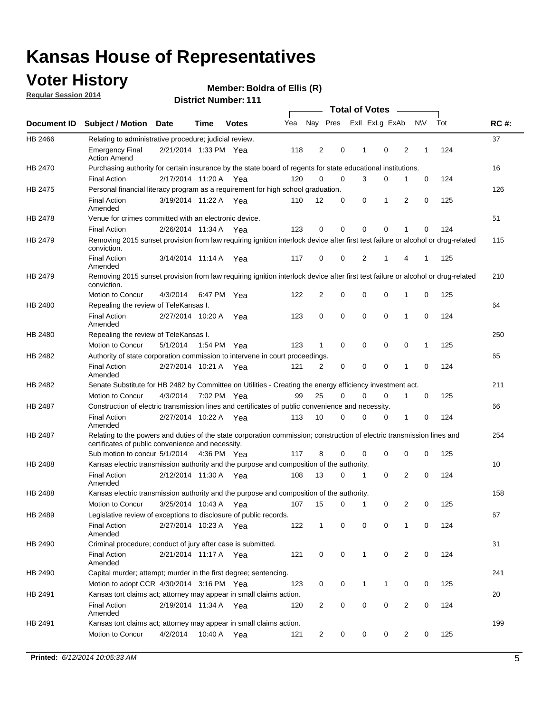### **Voter History**

**Regular Session 2014**

#### **Boldra of Ellis (R)**

|                |                                                                                                                                                                             |                       |             |              |     |                |             | <b>Total of Votes</b> |              |                |   |             |     |             |
|----------------|-----------------------------------------------------------------------------------------------------------------------------------------------------------------------------|-----------------------|-------------|--------------|-----|----------------|-------------|-----------------------|--------------|----------------|---|-------------|-----|-------------|
|                | Document ID Subject / Motion Date                                                                                                                                           |                       | Time        | <b>Votes</b> | Yea |                | Nay Pres    |                       |              | Exll ExLg ExAb |   | <b>NV</b>   | Tot | <b>RC#:</b> |
| HB 2466        | Relating to administrative procedure; judicial review.                                                                                                                      |                       |             |              |     |                |             |                       |              |                |   |             |     | 37          |
|                | <b>Emergency Final</b><br><b>Action Amend</b>                                                                                                                               | 2/21/2014 1:33 PM Yea |             |              | 118 | 2              | 0           |                       | 1            | 0              | 2 | 1           | 124 |             |
| <b>HB 2470</b> | Purchasing authority for certain insurance by the state board of regents for state educational institutions.                                                                |                       |             |              |     |                |             |                       |              |                |   |             |     | 16          |
|                | <b>Final Action</b>                                                                                                                                                         | 2/17/2014 11:20 A Yea |             |              | 120 | 0              | 0           |                       | 3            | 0              | 1 | 0           | 124 |             |
| HB 2475        | Personal financial literacy program as a requirement for high school graduation.                                                                                            |                       |             |              |     |                |             |                       |              |                |   |             |     | 126         |
|                | <b>Final Action</b><br>Amended                                                                                                                                              | 3/19/2014 11:22 A Yea |             |              | 110 | 12             | 0           |                       | 0            | 1              | 2 | $\mathbf 0$ | 125 |             |
| HB 2478        | Venue for crimes committed with an electronic device.                                                                                                                       |                       |             |              |     |                |             |                       |              |                |   |             |     | 51          |
|                | <b>Final Action</b>                                                                                                                                                         | 2/26/2014 11:34 A     |             | Yea          | 123 | 0              | 0           |                       | $\mathbf 0$  | $\mathbf 0$    | 1 | 0           | 124 |             |
| HB 2479        | Removing 2015 sunset provision from law requiring ignition interlock device after first test failure or alcohol or drug-related<br>conviction.                              |                       |             |              |     |                |             |                       |              |                |   |             |     | 115         |
|                | <b>Final Action</b><br>Amended                                                                                                                                              | 3/14/2014 11:14 A     |             | Yea          | 117 | $\mathbf 0$    | 0           |                       | 2            | 1              | 4 | 1           | 125 |             |
| HB 2479        | Removing 2015 sunset provision from law requiring ignition interlock device after first test failure or alcohol or drug-related<br>conviction.                              |                       |             |              |     |                |             |                       |              |                |   |             |     | 210         |
|                | Motion to Concur                                                                                                                                                            | 4/3/2014              |             | 6:47 PM Yea  | 122 | $\overline{2}$ | 0           |                       | 0            | $\mathbf 0$    | 1 | 0           | 125 |             |
| HB 2480        | Repealing the review of TeleKansas I.                                                                                                                                       |                       |             |              |     |                |             |                       |              |                |   |             |     | 64          |
|                | <b>Final Action</b><br>Amended                                                                                                                                              | 2/27/2014 10:20 A     |             | Yea          | 123 | 0              | 0           |                       | $\mathbf 0$  | $\mathbf 0$    | 1 | 0           | 124 |             |
| HB 2480        | Repealing the review of TeleKansas I.                                                                                                                                       |                       |             |              |     |                |             |                       |              |                |   |             |     | 250         |
|                | Motion to Concur                                                                                                                                                            | 5/1/2014              |             | 1:54 PM Yea  | 123 | 1              | 0           |                       | 0            | 0              | 0 | 1           | 125 |             |
| <b>HB 2482</b> | Authority of state corporation commission to intervene in court proceedings.                                                                                                |                       |             |              |     |                |             |                       |              |                |   |             |     | 65          |
|                | <b>Final Action</b><br>Amended                                                                                                                                              | 2/27/2014 10:21 A     |             | Yea          | 121 | $\overline{2}$ | 0           |                       | $\mathbf 0$  | $\mathbf 0$    | 1 | $\mathbf 0$ | 124 |             |
| HB 2482        | Senate Substitute for HB 2482 by Committee on Utilities - Creating the energy efficiency investment act.                                                                    |                       |             |              |     |                |             |                       |              |                |   |             |     | 211         |
|                | Motion to Concur                                                                                                                                                            | 4/3/2014              | 7:02 PM Yea |              | 99  | 25             | $\mathbf 0$ |                       | 0            | $\mathbf 0$    | 1 | 0           | 125 |             |
| HB 2487        | Construction of electric transmission lines and certificates of public convenience and necessity.                                                                           |                       |             |              |     |                |             |                       |              |                |   |             |     | 66          |
|                | <b>Final Action</b><br>Amended                                                                                                                                              | 2/27/2014 10:22 A     |             | Yea          | 113 | 10             | 0           |                       | 0            | 0              | 1 | 0           | 124 |             |
| HB 2487        | Relating to the powers and duties of the state corporation commission; construction of electric transmission lines and<br>certificates of public convenience and necessity. |                       |             |              |     |                |             |                       |              |                |   |             |     | 254         |
|                | Sub motion to concur 5/1/2014                                                                                                                                               |                       |             | 4:36 PM Yea  | 117 | 8              | 0           |                       | 0            | 0              | 0 | 0           | 125 |             |
| <b>HB 2488</b> | Kansas electric transmission authority and the purpose and composition of the authority.                                                                                    |                       |             |              |     |                |             |                       |              |                |   |             |     | 10          |
|                | <b>Final Action</b><br>Amended                                                                                                                                              | 2/12/2014 11:30 A     |             | Yea          | 108 | 13             | 0           |                       | 1            | 0              | 2 | 0           | 124 |             |
| <b>HB 2488</b> | Kansas electric transmission authority and the purpose and composition of the authority.                                                                                    |                       |             |              |     |                |             |                       |              |                |   |             |     | 158         |
|                | Motion to Concur                                                                                                                                                            | 3/25/2014 10:43 A     |             | Yea          | 107 | 15             | 0           |                       | 1            | 0              | 2 | 0           | 125 |             |
| HB 2489        | Legislative review of exceptions to disclosure of public records.                                                                                                           |                       |             |              |     |                |             |                       |              |                |   |             |     | 67          |
|                | <b>Final Action</b><br>Amended                                                                                                                                              | 2/27/2014 10:23 A Yea |             |              | 122 | $\mathbf 1$    | 0           |                       | 0            | 0              | 1 | 0           | 124 |             |
| HB 2490        | Criminal procedure; conduct of jury after case is submitted.                                                                                                                |                       |             |              |     |                |             |                       |              |                |   |             |     | 31          |
|                | <b>Final Action</b><br>Amended                                                                                                                                              | 2/21/2014 11:17 A Yea |             |              | 121 | 0              | 0           |                       | $\mathbf{1}$ | $\mathbf 0$    | 2 | 0           | 124 |             |
| HB 2490        | Capital murder; attempt; murder in the first degree; sentencing.                                                                                                            |                       |             |              |     |                |             |                       |              |                |   |             |     | 241         |
|                | Motion to adopt CCR 4/30/2014 3:16 PM Yea                                                                                                                                   |                       |             |              | 123 | 0              | 0           |                       | $\mathbf 1$  | 1              | 0 | 0           | 125 |             |
| HB 2491        | Kansas tort claims act; attorney may appear in small claims action.                                                                                                         |                       |             |              |     |                |             |                       |              |                |   |             |     | 20          |
|                | <b>Final Action</b><br>Amended                                                                                                                                              | 2/19/2014 11:34 A Yea |             |              | 120 | $\overline{c}$ | 0           |                       | 0            | $\pmb{0}$      | 2 | 0           | 124 |             |
| HB 2491        | Kansas tort claims act; attorney may appear in small claims action.                                                                                                         |                       |             |              |     |                |             |                       |              |                |   |             |     | 199         |
|                | Motion to Concur                                                                                                                                                            | 4/2/2014              |             | 10:40 A Yea  | 121 | 2              | 0           |                       | 0            | 0              | 2 | 0           | 125 |             |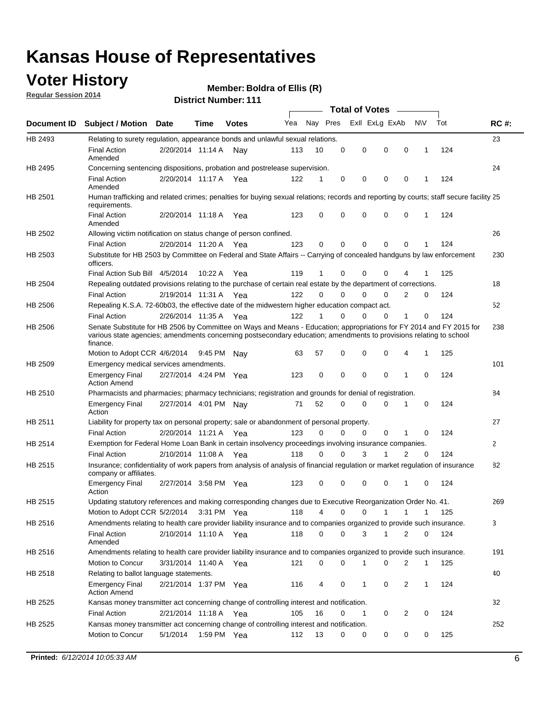### **Voter History**

**Regular Session 2014**

#### **Boldra of Ellis (R)**

|                |                                                                                                                                                                                                                                                        |                       |             | <b>DISTRICT MAILINGLE LET</b> |     |          |             | Total of Votes – |             |                |             |     |             |
|----------------|--------------------------------------------------------------------------------------------------------------------------------------------------------------------------------------------------------------------------------------------------------|-----------------------|-------------|-------------------------------|-----|----------|-------------|------------------|-------------|----------------|-------------|-----|-------------|
| Document ID    | <b>Subject / Motion Date</b>                                                                                                                                                                                                                           |                       | Time        | <b>Votes</b>                  | Yea |          | Nay Pres    | Exll ExLg ExAb   |             |                | <b>NV</b>   | Tot | <b>RC#:</b> |
| HB 2493        | Relating to surety regulation, appearance bonds and unlawful sexual relations.                                                                                                                                                                         |                       |             |                               |     |          |             |                  |             |                |             |     | 23          |
|                | <b>Final Action</b><br>Amended                                                                                                                                                                                                                         | 2/20/2014 11:14 A Nay |             |                               | 113 | 10       | $\mathbf 0$ | 0                | $\mathbf 0$ | $\mathbf 0$    | 1           | 124 |             |
| HB 2495        | Concerning sentencing dispositions, probation and postrelease supervision.                                                                                                                                                                             |                       |             |                               |     |          |             |                  |             |                |             |     | 24          |
|                | <b>Final Action</b><br>Amended                                                                                                                                                                                                                         | 2/20/2014 11:17 A     |             | Yea                           | 122 | 1        | 0           | 0                | 0           | 0              | 1           | 124 |             |
| HB 2501        | Human trafficking and related crimes; penalties for buying sexual relations; records and reporting by courts; staff secure facility 25<br>requirements.                                                                                                |                       |             |                               |     |          |             |                  |             |                |             |     |             |
|                | <b>Final Action</b><br>Amended                                                                                                                                                                                                                         | 2/20/2014 11:18 A Yea |             |                               | 123 | 0        | 0           | 0                | 0           | 0              | 1           | 124 |             |
| HB 2502        | Allowing victim notification on status change of person confined.                                                                                                                                                                                      |                       |             |                               |     |          |             |                  |             |                |             |     | 26          |
|                | <b>Final Action</b>                                                                                                                                                                                                                                    | 2/20/2014 11:20 A Yea |             |                               | 123 | 0        | 0           | 0                | 0           | 0              |             | 124 |             |
| HB 2503        | Substitute for HB 2503 by Committee on Federal and State Affairs -- Carrying of concealed handguns by law enforcement<br>officers.                                                                                                                     |                       |             |                               |     |          |             |                  |             |                |             |     | 230         |
|                | Final Action Sub Bill 4/5/2014                                                                                                                                                                                                                         |                       | 10:22A      | Yea                           | 119 | 1        | 0           | 0                | 0           |                |             | 125 |             |
| <b>HB 2504</b> | Repealing outdated provisions relating to the purchase of certain real estate by the department of corrections.                                                                                                                                        |                       |             |                               |     |          |             |                  |             |                |             |     | 18          |
|                | <b>Final Action</b>                                                                                                                                                                                                                                    | 2/19/2014 11:31 A     |             | Yea                           | 122 | $\Omega$ | 0           | $\Omega$         | 0           | 2              | 0           | 124 |             |
| HB 2506        | Repealing K.S.A. 72-60b03, the effective date of the midwestern higher education compact act.                                                                                                                                                          |                       |             |                               |     |          |             |                  |             |                |             |     | 52          |
|                | <b>Final Action</b>                                                                                                                                                                                                                                    | 2/26/2014 11:35 A     |             | Yea                           | 122 | 1        | $\mathbf 0$ | $\Omega$         | 0           | 1              | 0           | 124 |             |
| HB 2506        | Senate Substitute for HB 2506 by Committee on Ways and Means - Education; appropriations for FY 2014 and FY 2015 for<br>various state agencies; amendments concerning postsecondary education; amendments to provisions relating to school<br>finance. |                       |             |                               |     |          |             |                  |             |                |             |     | 238         |
|                | Motion to Adopt CCR 4/6/2014                                                                                                                                                                                                                           |                       | 9:45 PM     | . Nav                         | 63  | 57       | 0           | 0                | 0           | 4              | 1           | 125 |             |
| HB 2509        | Emergency medical services amendments.                                                                                                                                                                                                                 |                       |             |                               |     |          |             |                  |             |                |             |     | 101         |
|                | <b>Emergency Final</b><br><b>Action Amend</b>                                                                                                                                                                                                          | 2/27/2014 4:24 PM Yea |             |                               | 123 | 0        | $\Omega$    | $\Omega$         | $\Omega$    | 1              | $\Omega$    | 124 |             |
| HB 2510        | Pharmacists and pharmacies; pharmacy technicians; registration and grounds for denial of registration.                                                                                                                                                 |                       |             |                               |     |          |             |                  |             |                |             |     | 84          |
|                | <b>Emergency Final</b><br>Action                                                                                                                                                                                                                       | 2/27/2014 4:01 PM Nay |             |                               | 71  | 52       | 0           | 0                | 0           | 1              | 0           | 124 |             |
| HB 2511        | Liability for property tax on personal property; sale or abandonment of personal property.                                                                                                                                                             |                       |             |                               |     |          |             |                  |             |                |             |     | 27          |
|                | <b>Final Action</b>                                                                                                                                                                                                                                    | 2/20/2014 11:21 A Yea |             |                               | 123 | 0        | 0           | 0                | 0           | 1              | 0           | 124 |             |
| HB 2514        | Exemption for Federal Home Loan Bank in certain insolvency proceedings involving insurance companies.                                                                                                                                                  |                       |             |                               |     |          |             |                  |             |                |             |     | 2           |
|                | <b>Final Action</b>                                                                                                                                                                                                                                    | 2/10/2014 11:08 A     |             | Yea                           | 118 | $\Omega$ | $\Omega$    | 3                | 1           | $\overline{2}$ | $\mathbf 0$ | 124 |             |
| HB 2515        | Insurance; confidentiality of work papers from analysis of analysis of financial regulation or market regulation of insurance<br>company or affiliates.                                                                                                |                       |             |                               |     |          |             |                  |             |                |             |     | 82          |
|                | <b>Emergency Final</b><br>Action                                                                                                                                                                                                                       | 2/27/2014 3:58 PM Yea |             |                               | 123 | 0        | 0           | 0                | 0           | 1              | 0           | 124 |             |
| HB 2515        | Updating statutory references and making corresponding changes due to Executive Reorganization Order No. 41.                                                                                                                                           |                       |             |                               |     |          |             |                  |             |                |             |     | 269         |
|                | Motion to Adopt CCR 5/2/2014 3:31 PM Yea                                                                                                                                                                                                               |                       |             |                               | 118 | 4        | 0           | 0                | 1           | 1              | 1           | 125 |             |
| HB 2516        | Amendments relating to health care provider liability insurance and to companies organized to provide such insurance.                                                                                                                                  |                       |             |                               |     |          |             |                  |             |                |             |     | 3           |
|                | <b>Final Action</b><br>Amended                                                                                                                                                                                                                         | 2/10/2014 11:10 A Yea |             |                               | 118 | 0        | 0           | 3                | 1           | 2              | 0           | 124 |             |
| HB 2516        | Amendments relating to health care provider liability insurance and to companies organized to provide such insurance.                                                                                                                                  |                       |             |                               |     |          |             |                  |             |                |             |     | 191         |
|                | Motion to Concur                                                                                                                                                                                                                                       | 3/31/2014 11:40 A Yea |             |                               | 121 | 0        | 0           | 1                | 0           | 2              | 1           | 125 |             |
| HB 2518        | Relating to ballot language statements.                                                                                                                                                                                                                |                       |             |                               |     |          |             |                  |             |                |             |     | 40          |
|                | <b>Emergency Final</b><br><b>Action Amend</b>                                                                                                                                                                                                          | 2/21/2014 1:37 PM Yea |             |                               | 116 | 4        | 0           | 1                | 0           | 2              | 1           | 124 |             |
| HB 2525        | Kansas money transmitter act concerning change of controlling interest and notification.                                                                                                                                                               |                       |             |                               |     |          |             |                  |             |                |             |     | 32          |
|                | <b>Final Action</b>                                                                                                                                                                                                                                    | 2/21/2014 11:18 A Yea |             |                               | 105 | 16       | 0           | 1                | 0           | 2              | 0           | 124 |             |
| HB 2525        | Kansas money transmitter act concerning change of controlling interest and notification.                                                                                                                                                               |                       |             |                               |     |          |             |                  |             |                |             |     | 252         |
|                | Motion to Concur                                                                                                                                                                                                                                       | 5/1/2014              | 1:59 PM Yea |                               | 112 | 13       | 0           | 0                | 0           | 0              | 0           | 125 |             |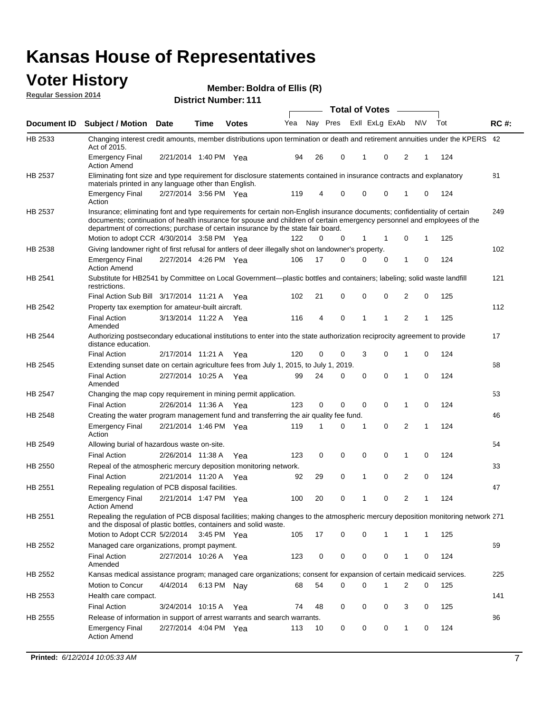#### **Voter History**<br> **Regular Session 2014 Regular Session 2014**

|  | <b>District Number: 111</b> |  |
|--|-----------------------------|--|
|--|-----------------------------|--|

|                    |                                                                                                                                                                                                                                                                                                                                           |                       |      |              |     |          |             | <b>Total of Votes</b> |                |              |             |     |             |
|--------------------|-------------------------------------------------------------------------------------------------------------------------------------------------------------------------------------------------------------------------------------------------------------------------------------------------------------------------------------------|-----------------------|------|--------------|-----|----------|-------------|-----------------------|----------------|--------------|-------------|-----|-------------|
| <b>Document ID</b> | <b>Subject / Motion Date</b>                                                                                                                                                                                                                                                                                                              |                       | Time | <b>Votes</b> | Yea | Nay Pres |             |                       | Exll ExLg ExAb |              | <b>NV</b>   | Tot | <b>RC#:</b> |
| HB 2533            | Changing interest credit amounts, member distributions upon termination or death and retirement annuities under the KPERS 42<br>Act of 2015.                                                                                                                                                                                              |                       |      |              |     |          |             |                       |                |              |             |     |             |
|                    | <b>Emergency Final</b><br><b>Action Amend</b>                                                                                                                                                                                                                                                                                             | 2/21/2014 1:40 PM Yea |      |              | 94  | 26       | 0           | 1                     | 0              | 2            | 1           | 124 |             |
| HB 2537            | Eliminating font size and type requirement for disclosure statements contained in insurance contracts and explanatory<br>materials printed in any language other than English.                                                                                                                                                            |                       |      |              |     |          |             |                       |                |              |             |     | 81          |
|                    | <b>Emergency Final</b><br>Action                                                                                                                                                                                                                                                                                                          | 2/27/2014 3:56 PM Yea |      |              | 119 | 4        | 0           | 0                     | 0              | $\mathbf{1}$ | 0           | 124 |             |
| HB 2537            | Insurance; eliminating font and type requirements for certain non-English insurance documents; confidentiality of certain<br>documents; continuation of health insurance for spouse and children of certain emergency personnel and employees of the<br>department of corrections; purchase of certain insurance by the state fair board. |                       |      |              |     |          |             |                       |                |              |             |     | 249         |
|                    | Motion to adopt CCR 4/30/2014 3:58 PM Yea                                                                                                                                                                                                                                                                                                 |                       |      |              | 122 | 0        | 0           | 1                     | 1              | 0            | 1           | 125 |             |
| HB 2538            | Giving landowner right of first refusal for antlers of deer illegally shot on landowner's property.                                                                                                                                                                                                                                       |                       |      |              |     |          |             |                       |                |              |             |     | 102         |
|                    | <b>Emergency Final</b><br><b>Action Amend</b>                                                                                                                                                                                                                                                                                             | 2/27/2014 4:26 PM Yea |      |              | 106 | 17       | 0           | 0                     | 0              | 1            | $\mathbf 0$ | 124 |             |
| HB 2541            | Substitute for HB2541 by Committee on Local Government—plastic bottles and containers; labeling; solid waste landfill<br>restrictions.                                                                                                                                                                                                    |                       |      |              |     |          |             |                       |                |              |             |     | 121         |
|                    | Final Action Sub Bill 3/17/2014 11:21 A Yea                                                                                                                                                                                                                                                                                               |                       |      |              | 102 | 21       | 0           | $\Omega$              | 0              | 2            | 0           | 125 |             |
| HB 2542            | Property tax exemption for amateur-built aircraft.                                                                                                                                                                                                                                                                                        |                       |      |              |     |          |             |                       |                |              |             |     | 112         |
|                    | <b>Final Action</b><br>Amended                                                                                                                                                                                                                                                                                                            | 3/13/2014 11:22 A Yea |      |              | 116 | 4        | $\mathbf 0$ | 1                     | 1              | 2            | 1           | 125 |             |
| HB 2544            | Authorizing postsecondary educational institutions to enter into the state authorization reciprocity agreement to provide<br>distance education.                                                                                                                                                                                          |                       |      |              |     |          |             |                       |                |              |             |     | 17          |
|                    | <b>Final Action</b>                                                                                                                                                                                                                                                                                                                       | 2/17/2014 11:21 A     |      | Yea          | 120 | 0        | 0           | 3                     | 0              | $\mathbf{1}$ | 0           | 124 |             |
| <b>HB 2545</b>     | Extending sunset date on certain agriculture fees from July 1, 2015, to July 1, 2019.                                                                                                                                                                                                                                                     |                       |      |              |     |          |             |                       |                |              |             |     | 68          |
|                    | <b>Final Action</b><br>Amended                                                                                                                                                                                                                                                                                                            | 2/27/2014 10:25 A     |      | Yea          | 99  | 24       | 0           | 0                     | 0              | 1            | $\mathbf 0$ | 124 |             |
| HB 2547            | Changing the map copy requirement in mining permit application.                                                                                                                                                                                                                                                                           |                       |      |              |     |          |             |                       |                |              |             |     | 53          |
|                    | <b>Final Action</b>                                                                                                                                                                                                                                                                                                                       | 2/26/2014 11:36 A Yea |      |              | 123 | 0        | 0           | $\mathbf 0$           | 0              | 1            | $\mathbf 0$ | 124 |             |
| HB 2548            | Creating the water program management fund and transferring the air quality fee fund.                                                                                                                                                                                                                                                     |                       |      |              |     |          |             |                       |                |              |             |     | 46          |
|                    | <b>Emergency Final</b><br>Action                                                                                                                                                                                                                                                                                                          | 2/21/2014 1:46 PM Yea |      |              | 119 | 1        | 0           | 1                     | 0              | 2            | 1           | 124 |             |
| HB 2549            | Allowing burial of hazardous waste on-site.                                                                                                                                                                                                                                                                                               |                       |      |              |     |          |             |                       |                |              |             |     | 54          |
|                    | <b>Final Action</b>                                                                                                                                                                                                                                                                                                                       | 2/26/2014 11:38 A     |      | Yea          | 123 | 0        | 0           | 0                     | 0              | $\mathbf{1}$ | 0           | 124 |             |
| HB 2550            | Repeal of the atmospheric mercury deposition monitoring network.                                                                                                                                                                                                                                                                          |                       |      |              |     |          |             |                       |                |              |             |     | 33          |
|                    | <b>Final Action</b>                                                                                                                                                                                                                                                                                                                       | 2/21/2014 11:20 A Yea |      |              | 92  | 29       | 0           | 1                     | 0              | 2            | 0           | 124 |             |
| HB 2551            | Repealing regulation of PCB disposal facilities.                                                                                                                                                                                                                                                                                          |                       |      |              |     |          |             |                       |                |              |             |     | 47          |
|                    | <b>Emergency Final</b><br><b>Action Amend</b>                                                                                                                                                                                                                                                                                             | 2/21/2014 1:47 PM Yea |      |              | 100 | 20       | 0           | 1                     | 0              | 2            | 1           | 124 |             |
| HB 2551            | Repealing the regulation of PCB disposal facilities; making changes to the atmospheric mercury deposition monitoring network 271<br>and the disposal of plastic bottles, containers and solid waste.                                                                                                                                      |                       |      |              |     |          |             |                       |                |              |             |     |             |
|                    | Motion to Adopt CCR 5/2/2014                                                                                                                                                                                                                                                                                                              |                       |      | 3:45 PM Yea  | 105 | 17       | 0           | 0                     | 1              | $\mathbf{1}$ | 1           | 125 |             |
| HB 2552            | Managed care organizations, prompt payment.                                                                                                                                                                                                                                                                                               |                       |      |              |     |          |             |                       |                |              |             |     | 69          |
|                    | <b>Final Action</b><br>Amended                                                                                                                                                                                                                                                                                                            | 2/27/2014 10:26 A Yea |      |              | 123 | 0        | 0           | 0                     | 0              | $\mathbf{1}$ | 0           | 124 |             |
| HB 2552            | Kansas medical assistance program; managed care organizations; consent for expansion of certain medicaid services.                                                                                                                                                                                                                        |                       |      |              |     |          |             |                       |                |              |             |     | 225         |
|                    | <b>Motion to Concur</b>                                                                                                                                                                                                                                                                                                                   | 4/4/2014              |      | 6:13 PM Nay  | 68  | 54       | 0           | 0                     | 1              | 2            | 0           | 125 |             |
| HB 2553            | Health care compact.                                                                                                                                                                                                                                                                                                                      |                       |      |              |     |          |             |                       |                |              |             |     | 141         |
|                    | <b>Final Action</b>                                                                                                                                                                                                                                                                                                                       | 3/24/2014 10:15 A     |      | Yea          | 74  | 48       | 0           | 0                     | 0              | 3            | 0           | 125 |             |
| HB 2555            | Release of information in support of arrest warrants and search warrants.                                                                                                                                                                                                                                                                 |                       |      |              |     |          |             |                       |                |              |             |     | 86          |
|                    | <b>Emergency Final</b>                                                                                                                                                                                                                                                                                                                    | 2/27/2014 4:04 PM Yea |      |              | 113 | 10       | 0           | 0                     | 0              | 1            | 0           | 124 |             |
|                    | <b>Action Amend</b>                                                                                                                                                                                                                                                                                                                       |                       |      |              |     |          |             |                       |                |              |             |     |             |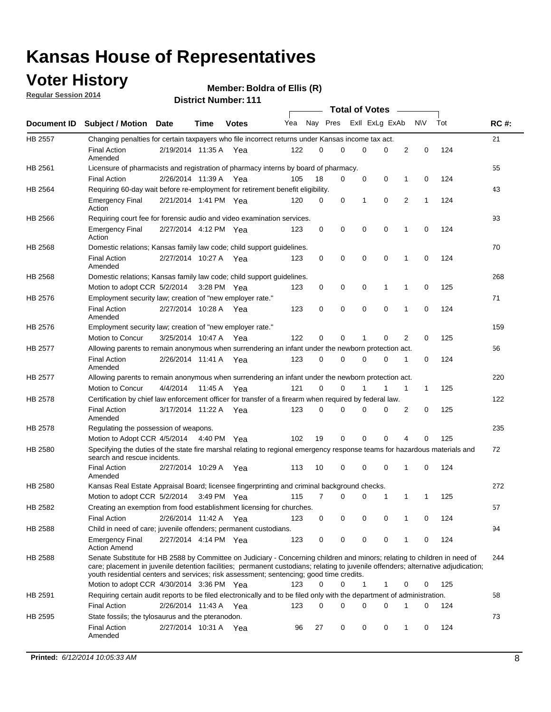### **Voter History**

**Regular Session 2014**

|             |                                                                                                                                                                                                                                                                                                                                                           |                       | IVL ITUIIINVI . |              |     |                         |             | <b>Total of Votes</b> |             |                |              |     |             |
|-------------|-----------------------------------------------------------------------------------------------------------------------------------------------------------------------------------------------------------------------------------------------------------------------------------------------------------------------------------------------------------|-----------------------|-----------------|--------------|-----|-------------------------|-------------|-----------------------|-------------|----------------|--------------|-----|-------------|
| Document ID | <b>Subject / Motion Date</b>                                                                                                                                                                                                                                                                                                                              |                       | <b>Time</b>     | <b>Votes</b> | Yea | Nay Pres ExII ExLg ExAb |             |                       |             |                | N\V          | Tot | <b>RC#:</b> |
| HB 2557     | Changing penalties for certain taxpayers who file incorrect returns under Kansas income tax act.                                                                                                                                                                                                                                                          |                       |                 |              |     |                         |             |                       |             |                |              |     | 21          |
|             | <b>Final Action</b><br>Amended                                                                                                                                                                                                                                                                                                                            | 2/19/2014 11:35 A Yea |                 |              | 122 | $\Omega$                | $\Omega$    | 0                     | 0           | $\overline{2}$ | $\mathbf 0$  | 124 |             |
| HB 2561     | Licensure of pharmacists and registration of pharmacy interns by board of pharmacy.                                                                                                                                                                                                                                                                       |                       |                 |              |     |                         |             |                       |             |                |              |     | 55          |
|             | <b>Final Action</b>                                                                                                                                                                                                                                                                                                                                       | 2/26/2014 11:39 A     |                 | Yea          | 105 | 18                      | 0           | 0                     | 0           | 1              | 0            | 124 |             |
| HB 2564     | Requiring 60-day wait before re-employment for retirement benefit eligibility.                                                                                                                                                                                                                                                                            |                       |                 |              |     |                         |             |                       |             |                |              |     | 43          |
|             | <b>Emergency Final</b><br>Action                                                                                                                                                                                                                                                                                                                          | 2/21/2014 1:41 PM Yea |                 |              | 120 | 0                       | 0           | 1                     | 0           | 2              | 1            | 124 |             |
| HB 2566     | Requiring court fee for forensic audio and video examination services.                                                                                                                                                                                                                                                                                    |                       |                 |              |     |                         |             |                       |             |                |              |     | 93          |
|             | <b>Emergency Final</b><br>Action                                                                                                                                                                                                                                                                                                                          | 2/27/2014 4:12 PM Yea |                 |              | 123 | 0                       | 0           | $\mathbf 0$           | $\mathbf 0$ | 1              | 0            | 124 |             |
| HB 2568     | Domestic relations; Kansas family law code; child support guidelines.                                                                                                                                                                                                                                                                                     |                       |                 |              |     |                         |             |                       |             |                |              |     | 70          |
|             | <b>Final Action</b><br>Amended                                                                                                                                                                                                                                                                                                                            | 2/27/2014 10:27 A Yea |                 |              | 123 | 0                       | $\mathbf 0$ | $\mathbf 0$           | $\mathbf 0$ | 1              | 0            | 124 |             |
| HB 2568     | Domestic relations; Kansas family law code; child support guidelines.                                                                                                                                                                                                                                                                                     |                       |                 |              |     |                         |             |                       |             |                |              |     | 268         |
|             | Motion to adopt CCR 5/2/2014                                                                                                                                                                                                                                                                                                                              |                       | 3:28 PM Yea     |              | 123 | 0                       | 0           | 0                     | 1           | 1              | 0            | 125 |             |
| HB 2576     | Employment security law; creation of "new employer rate."                                                                                                                                                                                                                                                                                                 |                       |                 |              |     |                         |             |                       |             |                |              |     | 71          |
|             | <b>Final Action</b><br>Amended                                                                                                                                                                                                                                                                                                                            | 2/27/2014 10:28 A Yea |                 |              | 123 | 0                       | $\mathbf 0$ | $\mathbf 0$           | $\mathbf 0$ | 1              | 0            | 124 |             |
| HB 2576     | Employment security law; creation of "new employer rate."                                                                                                                                                                                                                                                                                                 |                       |                 |              |     |                         |             |                       |             |                |              |     | 159         |
|             | Motion to Concur                                                                                                                                                                                                                                                                                                                                          | 3/25/2014 10:47 A     |                 | Yea          | 122 | $\Omega$                | 0           | 1                     | 0           | 2              | 0            | 125 |             |
| HB 2577     | Allowing parents to remain anonymous when surrendering an infant under the newborn protection act.                                                                                                                                                                                                                                                        |                       |                 |              |     |                         |             |                       |             |                |              |     | 56          |
|             | <b>Final Action</b><br>Amended                                                                                                                                                                                                                                                                                                                            | 2/26/2014 11:41 A Yea |                 |              | 123 | 0                       | 0           | 0                     | 0           | 1              | 0            | 124 |             |
| HB 2577     | Allowing parents to remain anonymous when surrendering an infant under the newborn protection act.                                                                                                                                                                                                                                                        |                       |                 |              |     |                         |             |                       |             |                |              |     | 220         |
|             | Motion to Concur                                                                                                                                                                                                                                                                                                                                          | 4/4/2014              | 11:45 A         | Yea          | 121 | $\Omega$                | 0           |                       |             | 1              | $\mathbf{1}$ | 125 |             |
| HB 2578     | Certification by chief law enforcement officer for transfer of a firearm when required by federal law.                                                                                                                                                                                                                                                    |                       |                 |              |     |                         |             |                       |             |                |              |     | 122         |
|             | <b>Final Action</b><br>Amended                                                                                                                                                                                                                                                                                                                            | 3/17/2014 11:22 A Yea |                 |              | 123 | 0                       | 0           | 0                     | 0           | 2              | 0            | 125 |             |
| HB 2578     | Regulating the possession of weapons.                                                                                                                                                                                                                                                                                                                     |                       |                 |              |     |                         |             |                       |             |                |              |     | 235         |
|             | Motion to Adopt CCR 4/5/2014 4:40 PM Yea                                                                                                                                                                                                                                                                                                                  |                       |                 |              | 102 | 19                      | 0           | 0                     | 0           | 4              | 0            | 125 |             |
| HB 2580     | Specifying the duties of the state fire marshal relating to regional emergency response teams for hazardous materials and<br>search and rescue incidents.                                                                                                                                                                                                 |                       |                 |              |     |                         |             |                       |             |                |              |     | 72          |
|             | <b>Final Action</b><br>Amended                                                                                                                                                                                                                                                                                                                            | 2/27/2014 10:29 A     |                 | Yea          | 113 | 10                      | 0           | 0                     | $\mathbf 0$ | 1              | 0            | 124 |             |
| HB 2580     | Kansas Real Estate Appraisal Board; licensee fingerprinting and criminal background checks.                                                                                                                                                                                                                                                               |                       |                 |              |     |                         |             |                       |             |                |              |     | 272         |
|             | Motion to adopt CCR 5/2/2014                                                                                                                                                                                                                                                                                                                              |                       | 3:49 PM Yea     |              | 115 | 7                       | 0           | 0                     | 1           | 1              | 1            | 125 |             |
| HB 2582     | Creating an exemption from food establishment licensing for churches.                                                                                                                                                                                                                                                                                     |                       |                 |              |     |                         |             |                       |             |                |              |     | 57          |
|             | <b>Final Action</b>                                                                                                                                                                                                                                                                                                                                       | 2/26/2014 11:42 A     |                 | Yea          | 123 | 0                       | 0           | 0                     | 0           | 1              | 0            | 124 |             |
| HB 2588     | Child in need of care; juvenile offenders; permanent custodians.                                                                                                                                                                                                                                                                                          |                       |                 |              |     |                         |             |                       |             |                |              |     | 94          |
|             | <b>Emergency Final</b><br><b>Action Amend</b>                                                                                                                                                                                                                                                                                                             | 2/27/2014 4:14 PM Yea |                 |              | 123 | 0                       | 0           | 0                     | 0           | 1              | 0            | 124 |             |
| HB 2588     | Senate Substitute for HB 2588 by Committee on Judiciary - Concerning children and minors; relating to children in need of<br>care; placement in juvenile detention facilities; permanent custodians; relating to juvenile offenders; alternative adjudication;<br>youth residential centers and services; risk assessment; sentencing; good time credits. |                       |                 |              |     |                         |             |                       |             |                |              |     | 244         |
|             | Motion to adopt CCR 4/30/2014 3:36 PM Yea                                                                                                                                                                                                                                                                                                                 |                       |                 |              | 123 | 0                       | 0           | 1                     | 1           | 0              | 0            | 125 |             |
| HB 2591     | Requiring certain audit reports to be filed electronically and to be filed only with the department of administration.                                                                                                                                                                                                                                    |                       |                 |              |     |                         |             |                       |             |                |              |     | 58          |
|             | <b>Final Action</b>                                                                                                                                                                                                                                                                                                                                       | 2/26/2014 11:43 A Yea |                 |              | 123 | 0                       | 0           | 0                     | 0           | 1              | 0            | 124 |             |
| HB 2595     | State fossils; the tylosaurus and the pteranodon.                                                                                                                                                                                                                                                                                                         |                       |                 |              |     |                         |             |                       |             |                |              |     | 73          |
|             | <b>Final Action</b><br>Amended                                                                                                                                                                                                                                                                                                                            | 2/27/2014 10:31 A     |                 | Yea          | 96  | 27                      | 0           | 0                     | 0           | 1              | 0            | 124 |             |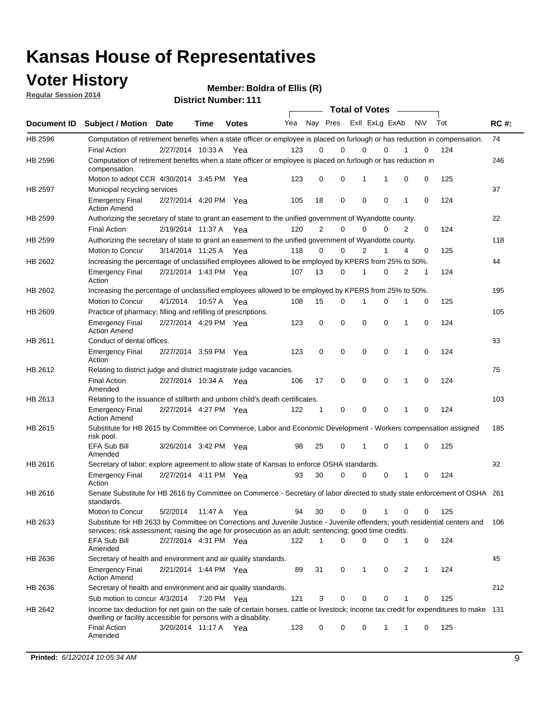### **Voter History**

**Regular Session 2014**

| <b>District Number: 111</b> |  |
|-----------------------------|--|
|                             |  |

|         |                                                                                                                                                                                                                                       |                       |             |              |     | <b>Total of Votes</b> |                         |             |              |   |            |     |             |
|---------|---------------------------------------------------------------------------------------------------------------------------------------------------------------------------------------------------------------------------------------|-----------------------|-------------|--------------|-----|-----------------------|-------------------------|-------------|--------------|---|------------|-----|-------------|
|         | Document ID Subject / Motion Date                                                                                                                                                                                                     |                       | <b>Time</b> | <b>Votes</b> | Yea |                       | Nay Pres Exll ExLg ExAb |             |              |   | <b>NIV</b> | Tot | <b>RC#:</b> |
| HB 2596 | Computation of retirement benefits when a state officer or employee is placed on furlough or has reduction in compensation.                                                                                                           |                       |             |              |     |                       |                         |             |              |   |            |     | 74          |
|         | <b>Final Action</b>                                                                                                                                                                                                                   | 2/27/2014 10:33 A     |             | Yea          | 123 | 0                     | $\mathbf 0$             | 0           | $\mathbf{0}$ |   | 0          | 124 |             |
| HB 2596 | Computation of retirement benefits when a state officer or employee is placed on furlough or has reduction in<br>compensation.                                                                                                        |                       |             |              |     |                       |                         |             |              |   |            |     | 246         |
|         | Motion to adopt CCR 4/30/2014 3:45 PM Yea                                                                                                                                                                                             |                       |             |              | 123 | 0                     | 0                       | 1           | 1            | 0 | 0          | 125 |             |
| HB 2597 | Municipal recycling services                                                                                                                                                                                                          |                       |             |              |     |                       |                         |             |              |   |            |     | 97          |
|         | <b>Emergency Final</b><br><b>Action Amend</b>                                                                                                                                                                                         | 2/27/2014 4:20 PM Yea |             |              | 105 | 18                    | 0                       | $\mathbf 0$ | 0            | 1 | 0          | 124 |             |
| HB 2599 | Authorizing the secretary of state to grant an easement to the unified government of Wyandotte county.                                                                                                                                |                       |             |              |     |                       |                         |             |              |   |            |     | 22          |
|         | <b>Final Action</b>                                                                                                                                                                                                                   | 2/19/2014 11:37 A     |             | Yea          | 120 | $\overline{2}$        | 0                       | 0           | 0            | 2 | 0          | 124 |             |
| HB 2599 | Authorizing the secretary of state to grant an easement to the unified government of Wyandotte county.                                                                                                                                |                       |             |              |     |                       |                         |             |              |   |            |     | 118         |
|         | Motion to Concur                                                                                                                                                                                                                      | 3/14/2014 11:25 A Yea |             |              | 118 | 0                     | 0                       | 2           | 1            | 4 | 0          | 125 |             |
| HB 2602 | Increasing the percentage of unclassified employees allowed to be employed by KPERS from 25% to 50%.                                                                                                                                  |                       |             |              |     |                       |                         |             |              |   |            |     | 44          |
|         | <b>Emergency Final</b><br>Action                                                                                                                                                                                                      | 2/21/2014 1:43 PM Yea |             |              | 107 | 13                    | 0                       | 1           | 0            | 2 | 1          | 124 |             |
| HB 2602 | Increasing the percentage of unclassified employees allowed to be employed by KPERS from 25% to 50%.                                                                                                                                  |                       |             |              |     |                       |                         |             |              |   |            |     | 195         |
|         | Motion to Concur                                                                                                                                                                                                                      | 4/1/2014              | 10:57 A     | Yea          | 108 | 15                    | 0                       | 1           | $\mathbf 0$  | 1 | 0          | 125 |             |
| HB 2609 | Practice of pharmacy; filling and refilling of prescriptions.                                                                                                                                                                         |                       |             |              |     |                       |                         |             |              |   |            |     | 105         |
|         | <b>Emergency Final</b><br><b>Action Amend</b>                                                                                                                                                                                         | 2/27/2014 4:29 PM Yea |             |              | 123 | 0                     | $\mathbf 0$             | $\mathbf 0$ | $\mathbf 0$  | 1 | 0          | 124 |             |
| HB 2611 | Conduct of dental offices.                                                                                                                                                                                                            |                       |             |              |     |                       |                         |             |              |   |            |     | 83          |
|         | <b>Emergency Final</b><br>Action                                                                                                                                                                                                      | 2/27/2014 3:59 PM Yea |             |              | 123 | 0                     | $\mathbf 0$             | $\mathbf 0$ | 0            | 1 | 0          | 124 |             |
| HB 2612 | Relating to district judge and district magistrate judge vacancies.                                                                                                                                                                   |                       |             |              |     |                       |                         |             |              |   |            |     | 75          |
|         | <b>Final Action</b><br>Amended                                                                                                                                                                                                        | 2/27/2014 10:34 A     |             | Yea          | 106 | 17                    | $\mathbf 0$             | $\mathbf 0$ | $\mathbf 0$  | 1 | 0          | 124 |             |
| HB 2613 | Relating to the issuance of stillbirth and unborn child's death certificates.                                                                                                                                                         |                       |             |              |     |                       |                         |             |              |   |            |     | 103         |
|         | <b>Emergency Final</b><br><b>Action Amend</b>                                                                                                                                                                                         | 2/27/2014 4:27 PM Yea |             |              | 122 | $\mathbf{1}$          | $\mathbf 0$             | $\mathbf 0$ | $\Omega$     | 1 | 0          | 124 |             |
| HB 2615 | Substitute for HB 2615 by Committee on Commerce, Labor and Economic Development - Workers compensation assigned<br>risk pool.                                                                                                         |                       |             |              |     |                       |                         |             |              |   |            |     | 185         |
|         | EFA Sub Bill<br>Amended                                                                                                                                                                                                               | 3/26/2014 3:42 PM Yea |             |              | 98  | 25                    | 0                       | 1           | $\mathbf 0$  | 1 | 0          | 125 |             |
| HB 2616 | Secretary of labor; explore agreement to allow state of Kansas to enforce OSHA standards.                                                                                                                                             |                       |             |              |     |                       |                         |             |              |   |            |     | 92          |
|         | <b>Emergency Final</b><br>Action                                                                                                                                                                                                      | 2/27/2014 4:11 PM Yea |             |              | 93  | 30                    | 0                       | 0           | 0            | 1 | 0          | 124 |             |
| HB 2616 | Senate Substitute for HB 2616 by Committee on Commerce - Secretary of labor directed to study state enforcement of OSHA 261<br>standards.                                                                                             |                       |             |              |     |                       |                         |             |              |   |            |     |             |
|         | Motion to Concur                                                                                                                                                                                                                      | 5/2/2014 11:47 A Yea  |             |              | 94  | 30                    | $\mathbf 0$             | 0           | 1            | 0 | 0          | 125 |             |
| HB 2633 | Substitute for HB 2633 by Committee on Corrections and Juvenile Justice - Juvenile offenders; youth residential centers and<br>services; risk assessment; raising the age for prosecution as an adult; sentencing; good time credits. |                       |             |              |     |                       |                         |             |              |   |            |     | 106         |
|         | EFA Sub Bill<br>Amended                                                                                                                                                                                                               | 2/27/2014 4:31 PM Yea |             |              | 122 | 1                     | $\Omega$                | 0           | 0            | 1 | 0          | 124 |             |
| HB 2636 | Secretary of health and environment and air quality standards.                                                                                                                                                                        |                       |             |              |     |                       |                         |             |              |   |            |     | 45          |
|         | <b>Emergency Final</b><br><b>Action Amend</b>                                                                                                                                                                                         | 2/21/2014 1:44 PM Yea |             |              | 89  | 31                    | 0                       | 1           | 0            | 2 | 1          | 124 |             |
| HB 2636 | Secretary of health and environment and air quality standards.                                                                                                                                                                        |                       |             |              |     |                       |                         |             |              |   |            |     | 212         |
|         | Sub motion to concur 4/3/2014                                                                                                                                                                                                         |                       | 7:20 PM Yea |              | 121 | 3                     | 0                       | 0           | 0            |   | 0          | 125 |             |
| HB 2642 | Income tax deduction for net gain on the sale of certain horses, cattle or livestock; income tax credit for expenditures to make 131                                                                                                  |                       |             |              |     |                       |                         |             |              |   |            |     |             |
|         | dwelling or facility accessible for persons with a disability.<br><b>Final Action</b>                                                                                                                                                 | 3/20/2014 11:17 A Yea |             |              | 123 | 0                     | 0                       | 0           | 1            | 1 | 0          | 125 |             |
|         | Amended                                                                                                                                                                                                                               |                       |             |              |     |                       |                         |             |              |   |            |     |             |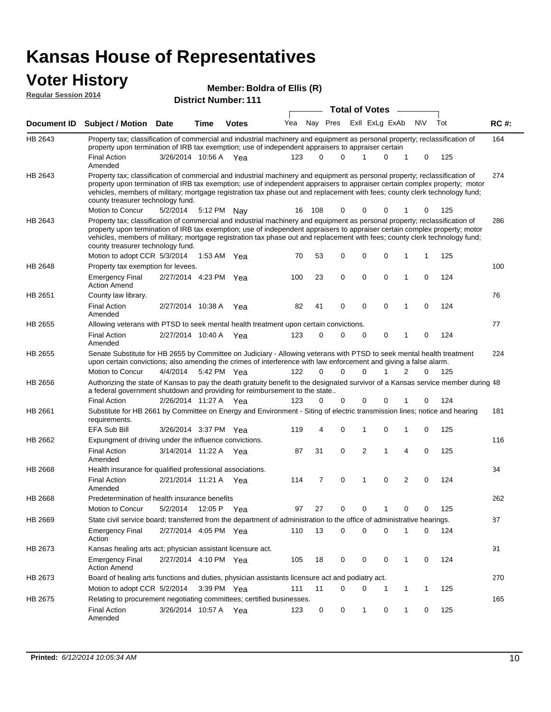#### **Voter History**<br> **Regular Session 2014 Regular Session 2014**

| <b>District Number: 111</b> |  |
|-----------------------------|--|
|-----------------------------|--|

|                    | <b>Total of Votes</b>                                                                                                                                                                                                                                                                                                                                                                                                                                         |                       |      |              |     |          |   |  |                         |             |                |     |     |             |
|--------------------|---------------------------------------------------------------------------------------------------------------------------------------------------------------------------------------------------------------------------------------------------------------------------------------------------------------------------------------------------------------------------------------------------------------------------------------------------------------|-----------------------|------|--------------|-----|----------|---|--|-------------------------|-------------|----------------|-----|-----|-------------|
| <b>Document ID</b> | <b>Subject / Motion Date</b>                                                                                                                                                                                                                                                                                                                                                                                                                                  |                       | Time | <b>Votes</b> | Yea |          |   |  | Nay Pres Exll ExLg ExAb |             |                | N\V | Tot | <b>RC#:</b> |
| HB 2643            | Property tax; classification of commercial and industrial machinery and equipment as personal property; reclassification of<br>property upon termination of IRB tax exemption; use of independent appraisers to appraiser certain                                                                                                                                                                                                                             |                       |      |              |     |          |   |  |                         |             |                |     |     | 164         |
|                    | <b>Final Action</b><br>Amended                                                                                                                                                                                                                                                                                                                                                                                                                                | 3/26/2014 10:56 A Yea |      |              | 123 | $\Omega$ | 0 |  |                         | 0           | 1              | 0   | 125 |             |
| HB 2643            | Property tax; classification of commercial and industrial machinery and equipment as personal property; reclassification of<br>property upon termination of IRB tax exemption; use of independent appraisers to appraiser certain complex property; motor<br>vehicles, members of military; mortgage registration tax phase out and replacement with fees; county clerk technology fund;<br>county treasurer technology fund.                                 |                       |      |              |     |          |   |  |                         |             |                |     |     | 274         |
|                    | Motion to Concur                                                                                                                                                                                                                                                                                                                                                                                                                                              | 5/2/2014              |      | 5:12 PM Nay  | 16  | 108      | 0 |  | $\Omega$                | 0           | 1              | 0   | 125 |             |
| HB 2643            | Property tax; classification of commercial and industrial machinery and equipment as personal property; reclassification of<br>property upon termination of IRB tax exemption; use of independent appraisers to appraiser certain complex property; motor<br>vehicles, members of military; mortgage registration tax phase out and replacement with fees; county clerk technology fund;<br>county treasurer technology fund.<br>Motion to adopt CCR 5/3/2014 |                       |      | 1:53 AM Yea  | 70  | 53       | 0 |  | 0                       | 0           | 1              | 1   | 125 | 286         |
| HB 2648            | Property tax exemption for levees.                                                                                                                                                                                                                                                                                                                                                                                                                            |                       |      |              |     |          |   |  |                         |             |                |     |     | 100         |
|                    | <b>Emergency Final</b><br><b>Action Amend</b>                                                                                                                                                                                                                                                                                                                                                                                                                 | 2/27/2014 4:23 PM Yea |      |              | 100 | 23       | 0 |  | $\mathbf 0$             | $\mathbf 0$ | 1              | 0   | 124 |             |
| HB 2651            | County law library.                                                                                                                                                                                                                                                                                                                                                                                                                                           |                       |      |              |     |          |   |  |                         |             |                |     |     | 76          |
|                    | <b>Final Action</b><br>Amended                                                                                                                                                                                                                                                                                                                                                                                                                                | 2/27/2014 10:38 A     |      | Yea          | 82  | 41       | 0 |  | 0                       | $\Omega$    | 1              | 0   | 124 |             |
| HB 2655            | Allowing veterans with PTSD to seek mental health treatment upon certain convictions.                                                                                                                                                                                                                                                                                                                                                                         |                       |      |              |     |          |   |  |                         |             |                |     |     | 77          |
|                    | <b>Final Action</b><br>Amended                                                                                                                                                                                                                                                                                                                                                                                                                                | 2/27/2014 10:40 A Yea |      |              | 123 | 0        | 0 |  | $\mathbf 0$             | 0           | 1              | 0   | 124 |             |
| HB 2655            | Senate Substitute for HB 2655 by Committee on Judiciary - Allowing veterans with PTSD to seek mental health treatment<br>upon certain convictions; also amending the crimes of interference with law enforcement and giving a false alarm.                                                                                                                                                                                                                    |                       |      |              |     |          |   |  |                         |             |                |     |     | 224         |
|                    | Motion to Concur                                                                                                                                                                                                                                                                                                                                                                                                                                              | 4/4/2014              |      | 5:42 PM Yea  | 122 | $\Omega$ | 0 |  | $\Omega$                | 1           | 2              | 0   | 125 |             |
| HB 2656            | Authorizing the state of Kansas to pay the death gratuity benefit to the designated survivor of a Kansas service member during 48<br>a federal government shutdown and providing for reimbursement to the state                                                                                                                                                                                                                                               |                       |      |              |     |          |   |  |                         |             |                |     |     |             |
|                    | <b>Final Action</b>                                                                                                                                                                                                                                                                                                                                                                                                                                           | 2/26/2014 11:27 A Yea |      |              | 123 | 0        | 0 |  | $\Omega$                | 0           | 1              | 0   | 124 |             |
| HB 2661            | Substitute for HB 2661 by Committee on Energy and Environment - Siting of electric transmission lines; notice and hearing<br>requirements.<br><b>EFA Sub Bill</b>                                                                                                                                                                                                                                                                                             | 3/26/2014 3:37 PM Yea |      |              | 119 | 4        | 0 |  | $\mathbf{1}$            | $\mathbf 0$ | 1              | 0   | 125 | 181         |
| HB 2662            | Expungment of driving under the influence convictions.                                                                                                                                                                                                                                                                                                                                                                                                        |                       |      |              |     |          |   |  |                         |             |                |     |     | 116         |
|                    | <b>Final Action</b><br>Amended                                                                                                                                                                                                                                                                                                                                                                                                                                | 3/14/2014 11:22 A Yea |      |              | 87  | 31       | 0 |  | 2                       | 1           | 4              | 0   | 125 |             |
| <b>HB 2668</b>     | Health insurance for qualified professional associations.                                                                                                                                                                                                                                                                                                                                                                                                     |                       |      |              |     |          |   |  |                         |             |                |     |     | 34          |
|                    | <b>Final Action</b><br>Amended                                                                                                                                                                                                                                                                                                                                                                                                                                | 2/21/2014 11:21 A Yea |      |              | 114 | 7        | 0 |  | $\mathbf{1}$            | $\mathbf 0$ | $\overline{2}$ | 0   | 124 |             |
| HB 2668            | Predetermination of health insurance benefits                                                                                                                                                                                                                                                                                                                                                                                                                 |                       |      |              |     |          |   |  |                         |             |                |     |     | 262         |
|                    | Motion to Concur                                                                                                                                                                                                                                                                                                                                                                                                                                              | 5/2/2014              |      | 12:05 P Yea  | 97  | 27       | 0 |  | 0                       | 1           | 0              | 0   | 125 |             |
| HB 2669            | State civil service board; transferred from the department of administration to the office of administrative hearings.                                                                                                                                                                                                                                                                                                                                        |                       |      |              |     |          |   |  |                         |             |                |     |     | 87          |
|                    | <b>Emergency Final</b><br>Action                                                                                                                                                                                                                                                                                                                                                                                                                              | 2/27/2014 4:05 PM Yea |      |              | 110 | 13       | 0 |  | 0                       | 0           | 1              | 0   | 124 |             |
| HB 2673            | Kansas healing arts act; physician assistant licensure act.                                                                                                                                                                                                                                                                                                                                                                                                   |                       |      |              |     |          |   |  |                         |             |                |     |     | 91          |
|                    | <b>Emergency Final</b><br><b>Action Amend</b>                                                                                                                                                                                                                                                                                                                                                                                                                 | 2/27/2014 4:10 PM Yea |      |              | 105 | 18       | 0 |  | 0                       | 0           | 1              | 0   | 124 |             |
| HB 2673            | Board of healing arts functions and duties, physician assistants licensure act and podiatry act.                                                                                                                                                                                                                                                                                                                                                              |                       |      |              |     |          |   |  |                         |             |                |     |     | 270         |
|                    | Motion to adopt CCR 5/2/2014 3:39 PM Yea                                                                                                                                                                                                                                                                                                                                                                                                                      |                       |      |              | 111 | 11       | 0 |  | 0                       | 1           | 1              | 1   | 125 |             |
| HB 2675            | Relating to procurement negotiating committees; certified businesses.                                                                                                                                                                                                                                                                                                                                                                                         |                       |      |              |     |          |   |  |                         |             |                |     |     | 165         |
|                    | <b>Final Action</b><br>Amended                                                                                                                                                                                                                                                                                                                                                                                                                                | 3/26/2014 10:57 A Yea |      |              | 123 | 0        | 0 |  | $\mathbf 1$             | 0           | 1              | 0   | 125 |             |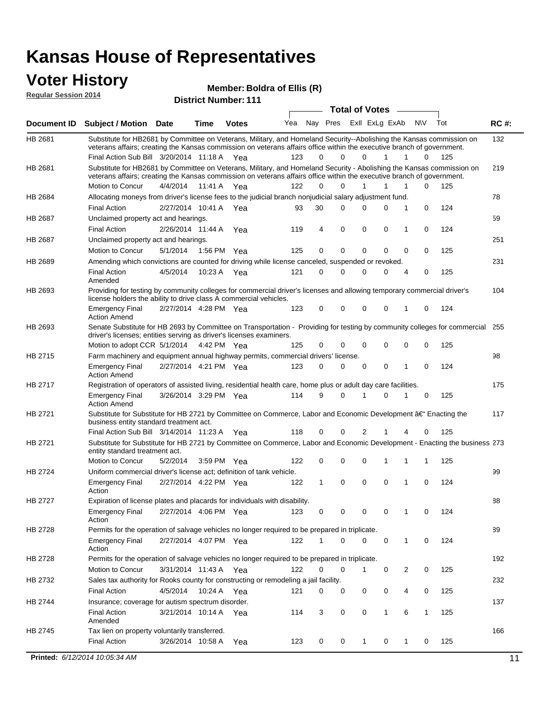### **Voter History**

**Regular Session 2014**

| <b>District Number: 111</b> |  |
|-----------------------------|--|
|                             |  |

|         |                                                                                                                                                                                                                                                                     |                       |             |              |     |          |             | <b>Total of Votes</b> |              | $\sim$         |              |     |             |
|---------|---------------------------------------------------------------------------------------------------------------------------------------------------------------------------------------------------------------------------------------------------------------------|-----------------------|-------------|--------------|-----|----------|-------------|-----------------------|--------------|----------------|--------------|-----|-------------|
|         | Document ID Subject / Motion Date                                                                                                                                                                                                                                   |                       | Time        | <b>Votes</b> | Yea | Nay Pres |             | Exll ExLg ExAb        |              |                | <b>NV</b>    | Tot | <b>RC#:</b> |
| HB 2681 | Substitute for HB2681 by Committee on Veterans, Military, and Homeland Security--Abolishing the Kansas commission on<br>veterans affairs; creating the Kansas commission on veterans affairs office within the executive branch of government.                      |                       |             |              |     |          |             |                       |              |                |              |     | 132         |
|         | Final Action Sub Bill 3/20/2014 11:18 A Yea                                                                                                                                                                                                                         |                       |             |              | 123 | 0        | $\Omega$    | $\Omega$              | $\mathbf{1}$ | 1              | 0            | 125 |             |
| HB 2681 | Substitute for HB2681 by Committee on Veterans, Military, and Homeland Security - Abolishing the Kansas commission on<br>veterans affairs; creating the Kansas commission on veterans affairs office within the executive branch of government.<br>Motion to Concur | 4/4/2014 11:41 A Yea  |             |              | 122 | 0        | 0           |                       | 1            | 1              | 0            | 125 | 219         |
| HB 2684 | Allocating moneys from driver's license fees to the judicial branch nonjudicial salary adjustment fund.                                                                                                                                                             |                       |             |              |     |          |             |                       |              |                |              |     | 78          |
|         | <b>Final Action</b>                                                                                                                                                                                                                                                 |                       |             |              | 93  | 30       | 0           | 0                     | $\Omega$     | 1              | 0            | 124 |             |
|         |                                                                                                                                                                                                                                                                     | 2/27/2014 10:41 A Yea |             |              |     |          |             |                       |              |                |              |     |             |
| HB 2687 | Unclaimed property act and hearings.                                                                                                                                                                                                                                |                       |             |              |     |          | $\mathbf 0$ |                       | 0            |                |              |     | 59          |
|         | <b>Final Action</b>                                                                                                                                                                                                                                                 | 2/26/2014 11:44 A     |             | Yea          | 119 | 4        |             | 0                     |              | 1              | 0            | 124 |             |
| HB 2687 | Unclaimed property act and hearings.                                                                                                                                                                                                                                |                       |             |              |     |          |             |                       | $\Omega$     |                |              |     | 251         |
|         | Motion to Concur                                                                                                                                                                                                                                                    | 5/1/2014              | 1:56 PM Yea |              | 125 | 0        | $\mathbf 0$ | $\mathbf 0$           |              | 0              | 0            | 125 |             |
| HB 2689 | Amending which convictions are counted for driving while license canceled, suspended or revoked.                                                                                                                                                                    |                       |             |              |     |          |             |                       |              |                |              |     | 231         |
|         | <b>Final Action</b><br>Amended                                                                                                                                                                                                                                      | 4/5/2014              | 10:23 A Yea |              | 121 | 0        | 0           | 0                     | 0            | $\overline{4}$ | 0            | 125 |             |
| HB 2693 | Providing for testing by community colleges for commercial driver's licenses and allowing temporary commercial driver's<br>license holders the ability to drive class A commercial vehicles.                                                                        |                       |             |              |     |          |             |                       |              |                |              |     | 104         |
|         | <b>Emergency Final</b><br><b>Action Amend</b>                                                                                                                                                                                                                       | 2/27/2014 4:28 PM Yea |             |              | 123 | 0        | 0           | 0                     | 0            | 1              | 0            | 124 |             |
| HB 2693 | Senate Substitute for HB 2693 by Committee on Transportation - Providing for testing by community colleges for commercial<br>driver's licenses; entities serving as driver's licenses examiners.                                                                    |                       |             |              |     |          |             |                       |              |                |              |     | 255         |
|         | Motion to adopt CCR 5/1/2014 4:42 PM Yea                                                                                                                                                                                                                            |                       |             |              | 125 | 0        | 0           | 0                     | 0            | 0              | 0            | 125 |             |
| HB 2715 | Farm machinery and equipment annual highway permits, commercial drivers' license.                                                                                                                                                                                   |                       |             |              |     |          |             |                       |              |                |              |     | 98          |
|         | <b>Emergency Final</b><br><b>Action Amend</b>                                                                                                                                                                                                                       | 2/27/2014 4:21 PM Yea |             |              | 123 | 0        | $\Omega$    | $\Omega$              | 0            | 1              | 0            | 124 |             |
| HB 2717 | Registration of operators of assisted living, residential health care, home plus or adult day care facilities.                                                                                                                                                      |                       |             |              |     |          |             |                       |              |                |              |     | 175         |
|         | <b>Emergency Final</b><br><b>Action Amend</b>                                                                                                                                                                                                                       | 3/26/2014 3:29 PM Yea |             |              | 114 | 9        | $\Omega$    | 1                     | 0            | 1              | 0            | 125 |             |
| HB 2721 | Substitute for Substitute for HB 2721 by Committee on Commerce, Labor and Economic Development †Enacting the<br>business entity standard treatment act.                                                                                                             |                       |             |              |     |          |             |                       |              |                |              |     | 117         |
|         | Final Action Sub Bill 3/14/2014 11:23 A Yea                                                                                                                                                                                                                         |                       |             |              | 118 | 0        | 0           | 2                     | 1            | 4              | 0            | 125 |             |
| HB 2721 | Substitute for Substitute for HB 2721 by Committee on Commerce, Labor and Economic Development - Enacting the business 273<br>entity standard treatment act.                                                                                                        |                       |             |              |     |          |             |                       |              |                |              |     |             |
|         | Motion to Concur                                                                                                                                                                                                                                                    | 5/2/2014              | 3:59 PM Yea |              | 122 | 0        | 0           | 0                     | 1            | 1              | 1            | 125 |             |
| HB 2724 | Uniform commercial driver's license act; definition of tank vehicle.                                                                                                                                                                                                |                       |             |              |     |          |             |                       |              |                |              |     | 99          |
|         | <b>Emergency Final</b><br>Action                                                                                                                                                                                                                                    | 2/27/2014 4:22 PM Yea |             |              | 122 | 1        | $\mathbf 0$ | $\mathbf 0$           | 0            | 1              | 0            | 124 |             |
| HB 2727 | Expiration of license plates and placards for individuals with disability.                                                                                                                                                                                          |                       |             |              |     |          |             |                       |              |                |              |     | 88          |
|         | Emergency Final<br>Action                                                                                                                                                                                                                                           | 2/27/2014 4:06 PM Yea |             |              | 123 | 0        | 0           | 0                     | 0            | 1              | 0            | 124 |             |
| HB 2728 | Permits for the operation of salvage vehicles no longer required to be prepared in triplicate.                                                                                                                                                                      |                       |             |              |     |          |             |                       |              |                |              |     | 89          |
|         | <b>Emergency Final</b><br>Action                                                                                                                                                                                                                                    | 2/27/2014 4:07 PM Yea |             |              | 122 | 1        | 0           | 0                     | 0            | 1              | 0            | 124 |             |
| HB 2728 | Permits for the operation of salvage vehicles no longer required to be prepared in triplicate.                                                                                                                                                                      |                       |             |              |     |          |             |                       |              |                |              |     | 192         |
|         | Motion to Concur                                                                                                                                                                                                                                                    | 3/31/2014 11:43 A Yea |             |              | 122 | 0        | 0           | $\mathbf{1}$          | 0            | 2              | 0            | 125 |             |
| HB 2732 | Sales tax authority for Rooks county for constructing or remodeling a jail facility.                                                                                                                                                                                |                       |             |              |     |          |             |                       |              |                |              |     | 232         |
|         | <b>Final Action</b>                                                                                                                                                                                                                                                 | 4/5/2014 10:24 A Yea  |             |              | 121 | 0        | 0           | 0                     | 0            | 4              | 0            | 125 |             |
| HB 2744 | Insurance; coverage for autism spectrum disorder.                                                                                                                                                                                                                   |                       |             |              |     |          |             |                       |              |                |              |     | 137         |
|         | <b>Final Action</b><br>Amended                                                                                                                                                                                                                                      | 3/21/2014 10:14 A Yea |             |              | 114 | 3        | 0           | 0                     | $\mathbf{1}$ | 6              | $\mathbf{1}$ | 125 |             |
| HB 2745 | Tax lien on property voluntarily transferred.                                                                                                                                                                                                                       |                       |             |              |     |          |             |                       |              |                |              |     | 166         |
|         | <b>Final Action</b>                                                                                                                                                                                                                                                 | 3/26/2014 10:58 A     |             | Yea          | 123 | 0        | 0           | 1                     | 0            | $\mathbf{1}$   | 0            | 125 |             |
|         | <b>Printed:</b> 6/12/2014 10:05:34 AM                                                                                                                                                                                                                               |                       |             |              |     |          |             |                       |              |                |              |     | 11          |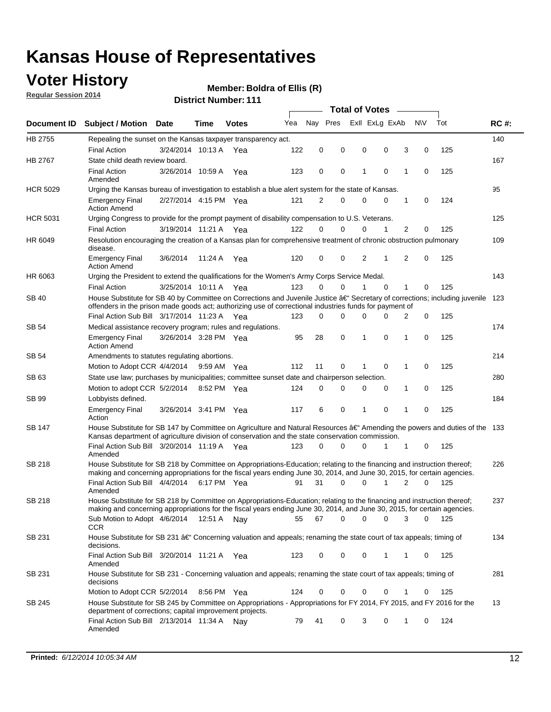### **Voter History**

**Regular Session 2014**

#### **Boldra of Ellis (R)**

|                 |                                                                                                                                                                                                                                                      |                       |             |              |     |          |          | <b>Total of Votes</b> |             |   |           |       |             |
|-----------------|------------------------------------------------------------------------------------------------------------------------------------------------------------------------------------------------------------------------------------------------------|-----------------------|-------------|--------------|-----|----------|----------|-----------------------|-------------|---|-----------|-------|-------------|
|                 | Document ID Subject / Motion Date                                                                                                                                                                                                                    |                       | Time        | <b>Votes</b> | Yea | Nav Pres |          | Exll ExLg ExAb        |             |   | <b>NV</b> | Tot   | <b>RC#:</b> |
| HB 2755         | Repealing the sunset on the Kansas taxpayer transparency act.                                                                                                                                                                                        |                       |             |              |     |          |          |                       |             |   |           |       | 140         |
|                 | <b>Final Action</b>                                                                                                                                                                                                                                  | 3/24/2014 10:13 A     |             | Yea          | 122 | 0        | 0        | 0                     | 0           | 3 | 0         | 125   |             |
| HB 2767         | State child death review board.                                                                                                                                                                                                                      |                       |             |              |     |          |          |                       |             |   |           |       | 167         |
|                 | <b>Final Action</b><br>Amended                                                                                                                                                                                                                       | 3/26/2014 10:59 A     |             | Yea          | 123 | 0        | 0        | 1                     | 0           | 1 | 0         | 125   |             |
| <b>HCR 5029</b> | Urging the Kansas bureau of investigation to establish a blue alert system for the state of Kansas.                                                                                                                                                  |                       |             |              |     |          |          |                       |             |   |           |       | 95          |
|                 | <b>Emergency Final</b><br><b>Action Amend</b>                                                                                                                                                                                                        | 2/27/2014 4:15 PM Yea |             |              | 121 | 2        | 0        | 0                     | 0           | 1 | 0         | 124   |             |
| <b>HCR 5031</b> | Urging Congress to provide for the prompt payment of disability compensation to U.S. Veterans.                                                                                                                                                       |                       |             |              |     |          |          |                       |             |   |           |       | 125         |
|                 | <b>Final Action</b>                                                                                                                                                                                                                                  | 3/19/2014 11:21 A Yea |             |              | 122 | $\Omega$ | 0        | 0                     | 1           | 2 | 0         | 125   |             |
| HR 6049         | Resolution encouraging the creation of a Kansas plan for comprehensive treatment of chronic obstruction pulmonary<br>disease.                                                                                                                        |                       |             |              |     |          |          |                       |             |   |           |       | 109         |
|                 | <b>Emergency Final</b><br><b>Action Amend</b>                                                                                                                                                                                                        | 3/6/2014              | 11:24 A     | Yea          | 120 | 0        | 0        | 2                     | 1           | 2 | 0         | 125   |             |
| HR 6063         | Urging the President to extend the qualifications for the Women's Army Corps Service Medal.                                                                                                                                                          |                       |             |              |     |          |          |                       |             |   |           |       | 143         |
|                 | <b>Final Action</b>                                                                                                                                                                                                                                  | 3/25/2014 10:11 A Yea |             |              | 123 | $\Omega$ | 0        | 1                     | $\Omega$    | 1 | 0         | 125   |             |
| SB 40           | House Substitute for SB 40 by Committee on Corrections and Juvenile Justice †Secretary of corrections; including juvenile<br>offenders in the prison made goods act; authorizing use of correctional industries funds for payment of                 |                       |             |              |     |          |          |                       |             |   |           |       | 123         |
|                 | Final Action Sub Bill 3/17/2014 11:23 A Yea                                                                                                                                                                                                          |                       |             |              | 123 | 0        | 0        | 0                     | O           | 2 | 0         | 125   |             |
| SB 54           | Medical assistance recovery program; rules and regulations.                                                                                                                                                                                          |                       |             |              |     |          |          |                       |             |   |           |       | 174         |
|                 | <b>Emergency Final</b><br><b>Action Amend</b>                                                                                                                                                                                                        | 3/26/2014 3:28 PM Yea |             |              | 95  | 28       | 0        | 1                     | $\mathbf 0$ | 1 | 0         | 125   |             |
| <b>SB 54</b>    | Amendments to statutes regulating abortions.                                                                                                                                                                                                         |                       |             |              |     |          |          |                       |             |   |           |       | 214         |
|                 | Motion to Adopt CCR 4/4/2014 9:59 AM Yea                                                                                                                                                                                                             |                       |             |              | 112 | 11       | 0        |                       | $\mathbf 0$ | 1 | 0         | 125   |             |
| SB 63           | State use law; purchases by municipalities; committee sunset date and chairperson selection.                                                                                                                                                         |                       |             |              |     |          |          |                       |             |   |           |       | 280         |
|                 | Motion to adopt CCR 5/2/2014                                                                                                                                                                                                                         |                       | 8:52 PM Yea |              | 124 | 0        | 0        | 0                     | 0           | 1 | 0         | 125   |             |
| SB 99           | Lobbyists defined.                                                                                                                                                                                                                                   |                       |             |              |     |          |          |                       |             |   |           |       | 184         |
|                 | <b>Emergency Final</b><br>Action                                                                                                                                                                                                                     | 3/26/2014 3:41 PM Yea |             |              | 117 | 6        | 0        | 1                     | $\mathbf 0$ | 1 | 0         | 125   |             |
| SB 147          | House Substitute for SB 147 by Committee on Agriculture and Natural Resources †Amending the powers and duties of the 133<br>Kansas department of agriculture division of conservation and the state conservation commission.                         |                       |             |              |     |          |          |                       |             |   |           |       |             |
|                 | Final Action Sub Bill 3/20/2014 11:19 A Yea<br>Amended                                                                                                                                                                                               |                       |             |              | 123 | 0        | 0        | 0                     | 1           | 1 | 0         | 125   |             |
| SB 218          | House Substitute for SB 218 by Committee on Appropriations-Education; relating to the financing and instruction thereof;<br>making and concerning appropriations for the fiscal years ending June 30, 2014, and June 30, 2015, for certain agencies. |                       |             |              |     |          |          |                       |             |   |           |       | 226         |
|                 | Final Action Sub Bill 4/4/2014<br>Amended                                                                                                                                                                                                            |                       | 6:17 PM Yea |              | 91  | 31       | $\Omega$ | 0                     | 1           | 2 | $\Omega$  | 125   |             |
| SB 218          | House Substitute for SB 218 by Committee on Appropriations-Education; relating to the financing and instruction thereof;                                                                                                                             |                       |             |              |     |          |          |                       |             |   |           |       | 237         |
|                 | making and concerning appropriations for the fiscal years ending June 30, 2014, and June 30, 2015, for certain agencies.<br>Sub Motion to Adopt 4/6/2014 12:51 A Nay<br>CCR                                                                          |                       |             |              | 55  | 67       | 0        | 0                     | 0           | 3 | 0         | - 125 |             |
| SB 231          | House Substitute for SB 231 †Concerning valuation and appeals; renaming the state court of tax appeals; timing of<br>decisions.                                                                                                                      |                       |             |              |     |          |          |                       |             |   |           |       | 134         |
|                 | Final Action Sub Bill 3/20/2014 11:21 A Yea<br>Amended                                                                                                                                                                                               |                       |             |              | 123 | 0        | 0        | 0                     | 1           | 1 | 0         | 125   |             |
| SB 231          | House Substitute for SB 231 - Concerning valuation and appeals; renaming the state court of tax appeals; timing of<br>decisions                                                                                                                      |                       |             |              |     |          |          |                       |             |   |           |       | 281         |
|                 | Motion to Adopt CCR 5/2/2014                                                                                                                                                                                                                         |                       | 8:56 PM Yea |              | 124 | 0        | 0        | 0                     | 0           | 1 | 0         | 125   |             |
| SB 245          | House Substitute for SB 245 by Committee on Appropriations - Appropriations for FY 2014, FY 2015, and FY 2016 for the<br>department of corrections; capital improvement projects.                                                                    |                       |             |              |     |          |          |                       |             |   |           |       | 13          |
|                 | Final Action Sub Bill 2/13/2014 11:34 A<br>Amended                                                                                                                                                                                                   |                       |             | Nav          | 79  | 41       | 0        | 3                     | 0           | 1 | 0         | 124   |             |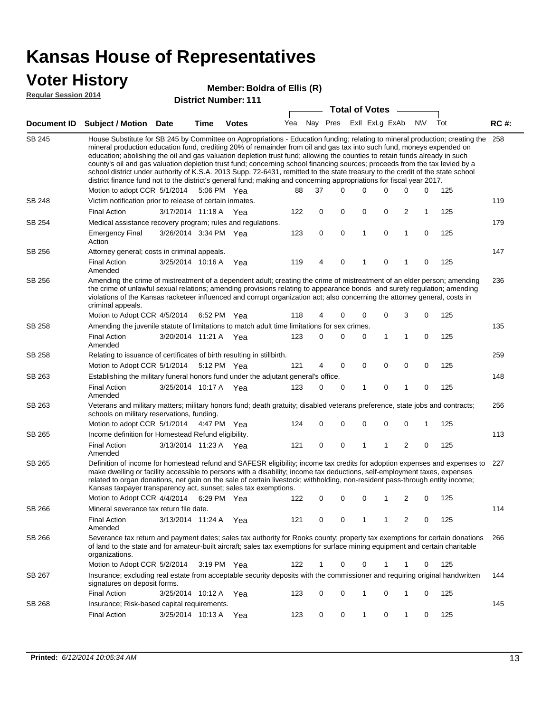#### **Voter History**

#### **Boldra of Ellis (R)**

**Regular Session 2014**

|               |                                                                                                                                                                                                                                                                                                                                                                                                                                                                                                                                                                                                                                                                                                                                                                                                                   |                       |             | PISUIVLINUIIINGI. I I I |     |    | <b>Total of Votes</b>       |   |             |                |             |     |             |
|---------------|-------------------------------------------------------------------------------------------------------------------------------------------------------------------------------------------------------------------------------------------------------------------------------------------------------------------------------------------------------------------------------------------------------------------------------------------------------------------------------------------------------------------------------------------------------------------------------------------------------------------------------------------------------------------------------------------------------------------------------------------------------------------------------------------------------------------|-----------------------|-------------|-------------------------|-----|----|-----------------------------|---|-------------|----------------|-------------|-----|-------------|
|               | Document ID Subject / Motion Date                                                                                                                                                                                                                                                                                                                                                                                                                                                                                                                                                                                                                                                                                                                                                                                 |                       | <b>Time</b> | <b>Votes</b>            |     |    | Yea Nay Pres ExII ExLg ExAb |   |             |                | <b>NV</b>   | Tot | <b>RC#:</b> |
| <b>SB 245</b> | House Substitute for SB 245 by Committee on Appropriations - Education funding; relating to mineral production; creating the 258<br>mineral production education fund, crediting 20% of remainder from oil and gas tax into such fund, moneys expended on<br>education; abolishing the oil and gas valuation depletion trust fund; allowing the counties to retain funds already in such<br>county's oil and gas valuation depletion trust fund; concerning school financing sources; proceeds from the tax levied by a<br>school district under authority of K.S.A. 2013 Supp. 72-6431, remitted to the state treasury to the credit of the state school<br>district finance fund not to the district's general fund; making and concerning appropriations for fiscal year 2017.<br>Motion to adopt CCR 5/1/2014 |                       |             | 5:06 PM Yea             | 88  | 37 | 0                           | 0 | 0           | 0              | 0           | 125 |             |
| <b>SB 248</b> | Victim notification prior to release of certain inmates.                                                                                                                                                                                                                                                                                                                                                                                                                                                                                                                                                                                                                                                                                                                                                          |                       |             |                         |     |    |                             |   |             |                |             |     | 119         |
|               | <b>Final Action</b>                                                                                                                                                                                                                                                                                                                                                                                                                                                                                                                                                                                                                                                                                                                                                                                               | 3/17/2014 11:18 A     |             | Yea                     | 122 | 0  | 0                           | 0 | 0           | 2              | 1           | 125 |             |
| SB 254        | Medical assistance recovery program; rules and regulations.                                                                                                                                                                                                                                                                                                                                                                                                                                                                                                                                                                                                                                                                                                                                                       |                       |             |                         |     |    |                             |   |             |                |             |     | 179         |
|               | <b>Emergency Final</b><br>Action                                                                                                                                                                                                                                                                                                                                                                                                                                                                                                                                                                                                                                                                                                                                                                                  | 3/26/2014 3:34 PM Yea |             |                         | 123 | 0  | 0                           | 1 | 0           | $\mathbf{1}$   | 0           | 125 |             |
| SB 256        | Attorney general; costs in criminal appeals.                                                                                                                                                                                                                                                                                                                                                                                                                                                                                                                                                                                                                                                                                                                                                                      |                       |             |                         |     |    |                             |   |             |                |             |     | 147         |
|               | <b>Final Action</b><br>Amended                                                                                                                                                                                                                                                                                                                                                                                                                                                                                                                                                                                                                                                                                                                                                                                    | 3/25/2014 10:16 A     |             | Yea                     | 119 | 4  | 0                           | 1 | 0           | 1              | $\mathbf 0$ | 125 |             |
| SB 256        | Amending the crime of mistreatment of a dependent adult; creating the crime of mistreatment of an elder person; amending<br>the crime of unlawful sexual relations; amending provisions relating to appearance bonds and surety regulation; amending<br>violations of the Kansas racketeer influenced and corrupt organization act; also concerning the attorney general, costs in<br>criminal appeals.                                                                                                                                                                                                                                                                                                                                                                                                           |                       |             |                         |     |    |                             |   |             |                |             |     | 236         |
|               | Motion to Adopt CCR 4/5/2014                                                                                                                                                                                                                                                                                                                                                                                                                                                                                                                                                                                                                                                                                                                                                                                      |                       | 6:52 PM Yea |                         | 118 | 4  | 0                           | 0 | 0           | 3              | 0           | 125 |             |
| SB 258        | Amending the juvenile statute of limitations to match adult time limitations for sex crimes.                                                                                                                                                                                                                                                                                                                                                                                                                                                                                                                                                                                                                                                                                                                      |                       |             |                         |     |    |                             |   |             |                |             |     | 135         |
|               | <b>Final Action</b><br>Amended                                                                                                                                                                                                                                                                                                                                                                                                                                                                                                                                                                                                                                                                                                                                                                                    | 3/20/2014 11:21 A Yea |             |                         | 123 | 0  | 0                           | 0 | 1           | 1              | 0           | 125 |             |
| <b>SB 258</b> | Relating to issuance of certificates of birth resulting in stillbirth.                                                                                                                                                                                                                                                                                                                                                                                                                                                                                                                                                                                                                                                                                                                                            |                       |             |                         |     |    |                             |   |             |                |             |     | 259         |
|               | Motion to Adopt CCR 5/1/2014 5:12 PM Yea                                                                                                                                                                                                                                                                                                                                                                                                                                                                                                                                                                                                                                                                                                                                                                          |                       |             |                         | 121 | 4  | 0                           | 0 | 0           | 0              | 0           | 125 |             |
| SB 263        | Establishing the military funeral honors fund under the adjutant general's office.                                                                                                                                                                                                                                                                                                                                                                                                                                                                                                                                                                                                                                                                                                                                |                       |             |                         |     |    |                             | 1 |             | 1              | 0           |     | 148         |
|               | <b>Final Action</b><br>Amended                                                                                                                                                                                                                                                                                                                                                                                                                                                                                                                                                                                                                                                                                                                                                                                    | 3/25/2014 10:17 A Yea |             |                         | 123 | 0  | 0                           |   | 0           |                |             | 125 |             |
| SB 263        | Veterans and military matters; military honors fund; death gratuity; disabled veterans preference, state jobs and contracts;<br>schools on military reservations, funding.                                                                                                                                                                                                                                                                                                                                                                                                                                                                                                                                                                                                                                        |                       |             |                         |     |    |                             |   |             |                |             |     | 256         |
|               | Motion to adopt CCR 5/1/2014 4:47 PM Yea                                                                                                                                                                                                                                                                                                                                                                                                                                                                                                                                                                                                                                                                                                                                                                          |                       |             |                         | 124 | 0  | 0                           | 0 | $\mathbf 0$ | 0              | 1           | 125 |             |
| SB 265        | Income definition for Homestead Refund eligibility.                                                                                                                                                                                                                                                                                                                                                                                                                                                                                                                                                                                                                                                                                                                                                               |                       |             |                         |     |    |                             |   |             |                |             |     | 113         |
|               | <b>Final Action</b><br>Amended                                                                                                                                                                                                                                                                                                                                                                                                                                                                                                                                                                                                                                                                                                                                                                                    | 3/13/2014 11:23 A Yea |             |                         | 121 | 0  | 0                           | 1 | 1           | $\overline{2}$ | 0           | 125 |             |
| SB 265        | Definition of income for homestead refund and SAFESR eligibility; income tax credits for adoption expenses and expenses to<br>make dwelling or facility accessible to persons with a disability; income tax deductions, self-employment taxes, expenses<br>related to organ donations, net gain on the sale of certain livestock; withholding, non-resident pass-through entity income;<br>Kansas taxpayer transparency act, sunset; sales tax exemptions.<br>Motion to Adopt CCR 4/4/2014 6:29 PM Yea                                                                                                                                                                                                                                                                                                            |                       |             |                         | 122 | 0  | 0                           | 0 | 1           | 2              | 0           | 125 | 227         |
| SB 266        | Mineral severance tax return file date.                                                                                                                                                                                                                                                                                                                                                                                                                                                                                                                                                                                                                                                                                                                                                                           |                       |             |                         |     |    |                             |   |             |                |             |     | 114         |
|               | <b>Final Action</b><br>Amended                                                                                                                                                                                                                                                                                                                                                                                                                                                                                                                                                                                                                                                                                                                                                                                    | 3/13/2014 11:24 A     |             | Yea                     | 121 | 0  | 0                           | 1 | 1           | 2              | 0           | 125 |             |
| SB 266        | Severance tax return and payment dates; sales tax authority for Rooks county; property tax exemptions for certain donations<br>of land to the state and for amateur-built aircraft; sales tax exemptions for surface mining equipment and certain charitable<br>organizations.                                                                                                                                                                                                                                                                                                                                                                                                                                                                                                                                    |                       |             |                         |     |    |                             |   |             |                |             |     | 266         |
|               | Motion to Adopt CCR 5/2/2014                                                                                                                                                                                                                                                                                                                                                                                                                                                                                                                                                                                                                                                                                                                                                                                      |                       |             | $3:19 \text{ PM}$ Yea   | 122 | 1  | 0                           | 0 | 1           | 1              | 0           | 125 |             |
| SB 267        | Insurance; excluding real estate from acceptable security deposits with the commissioner and requiring original handwritten<br>signatures on deposit forms.                                                                                                                                                                                                                                                                                                                                                                                                                                                                                                                                                                                                                                                       |                       |             |                         |     |    |                             |   |             |                |             |     | 144         |
|               | <b>Final Action</b>                                                                                                                                                                                                                                                                                                                                                                                                                                                                                                                                                                                                                                                                                                                                                                                               | 3/25/2014 10:12 A Yea |             |                         | 123 | 0  | 0                           | 1 | 0           | 1              | 0           | 125 |             |
| SB 268        | Insurance; Risk-based capital requirements.                                                                                                                                                                                                                                                                                                                                                                                                                                                                                                                                                                                                                                                                                                                                                                       |                       |             |                         |     |    |                             |   |             |                |             |     | 145         |
|               | <b>Final Action</b>                                                                                                                                                                                                                                                                                                                                                                                                                                                                                                                                                                                                                                                                                                                                                                                               | 3/25/2014 10:13 A     |             | Yea                     | 123 | 0  | 0                           | 1 | 0           | $\mathbf{1}$   | 0           | 125 |             |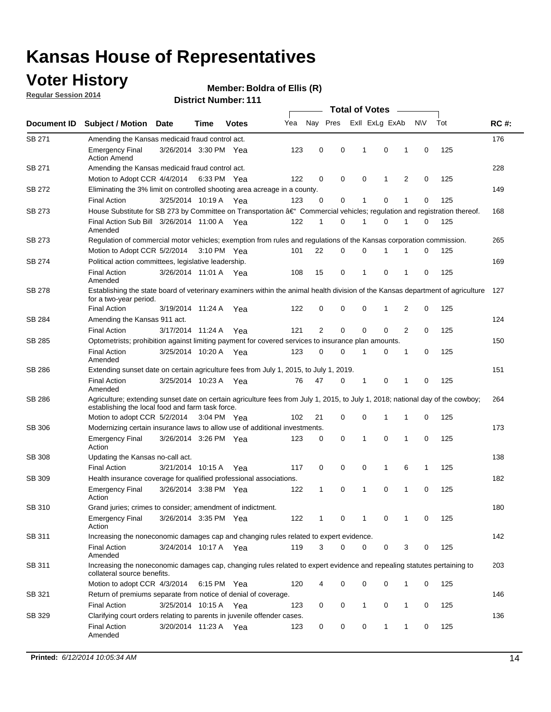### **Voter History**

**Regular Session 2014**

#### **Boldra of Ellis (R)**

|               |                                                                                                                                                                                    |                       |      |              | <b>Total of Votes</b> |                |          |                |             |                |             |     |             |
|---------------|------------------------------------------------------------------------------------------------------------------------------------------------------------------------------------|-----------------------|------|--------------|-----------------------|----------------|----------|----------------|-------------|----------------|-------------|-----|-------------|
| Document ID   | <b>Subject / Motion Date</b>                                                                                                                                                       |                       | Time | <b>Votes</b> | Yea                   | Nay Pres       |          | Exll ExLg ExAb |             |                | N\V         | Tot | <b>RC#:</b> |
| SB 271        | Amending the Kansas medicaid fraud control act.                                                                                                                                    |                       |      |              |                       |                |          |                |             |                |             |     | 176         |
|               | <b>Emergency Final</b><br><b>Action Amend</b>                                                                                                                                      | 3/26/2014 3:30 PM Yea |      |              | 123                   | 0              | 0        | 1              | 0           | 1              | $\mathbf 0$ | 125 |             |
| SB 271        | Amending the Kansas medicaid fraud control act.                                                                                                                                    |                       |      |              |                       |                |          |                |             |                |             |     | 228         |
|               | Motion to Adopt CCR 4/4/2014 6:33 PM Yea                                                                                                                                           |                       |      |              | 122                   | 0              | 0        | $\mathbf 0$    | 1           | 2              | $\mathbf 0$ | 125 |             |
| SB 272        | Eliminating the 3% limit on controlled shooting area acreage in a county.                                                                                                          |                       |      |              |                       |                |          |                |             |                |             |     | 149         |
|               | <b>Final Action</b>                                                                                                                                                                | 3/25/2014 10:19 A Yea |      |              | 123                   | 0              | 0        | 1              | $\mathbf 0$ | 1              | $\mathbf 0$ | 125 |             |
| SB 273        | House Substitute for SB 273 by Committee on Transportation †Commercial vehicles; regulation and registration thereof.                                                              |                       |      |              |                       |                |          |                |             |                |             |     | 168         |
|               | Final Action Sub Bill 3/26/2014 11:00 A Yea<br>Amended                                                                                                                             |                       |      |              | 122                   | 1              | 0        | 1              | 0           | 1              | 0           | 125 |             |
| SB 273        | Regulation of commercial motor vehicles; exemption from rules and regulations of the Kansas corporation commission.                                                                |                       |      |              |                       |                |          |                |             |                |             |     | 265         |
|               | Motion to Adopt CCR 5/2/2014 3:10 PM Yea                                                                                                                                           |                       |      |              | 101                   | 22             | 0        | $\mathbf 0$    | 1           | 1              | 0           | 125 |             |
| SB 274        | Political action committees, legislative leadership.                                                                                                                               |                       |      |              |                       |                |          |                |             |                |             |     | 169         |
|               | <b>Final Action</b><br>Amended                                                                                                                                                     | 3/26/2014 11:01 A Yea |      |              | 108                   | 15             | 0        | $\mathbf 1$    | $\mathbf 0$ | 1              | $\mathbf 0$ | 125 |             |
| <b>SB 278</b> | Establishing the state board of veterinary examiners within the animal health division of the Kansas department of agriculture<br>for a two-year period.                           |                       |      |              |                       |                |          |                |             |                |             |     | 127         |
|               | <b>Final Action</b>                                                                                                                                                                | 3/19/2014 11:24 A     |      | Yea          | 122                   | 0              | 0        | 0              | 1           | 2              | 0           | 125 |             |
| SB 284        | Amending the Kansas 911 act.                                                                                                                                                       |                       |      |              |                       |                |          |                |             |                |             |     | 124         |
|               | <b>Final Action</b>                                                                                                                                                                | 3/17/2014 11:24 A     |      | Yea          | 121                   | $\overline{2}$ | 0        | $\mathbf 0$    | $\mathbf 0$ | $\overline{2}$ | $\mathbf 0$ | 125 |             |
| SB 285        | Optometrists; prohibition against limiting payment for covered services to insurance plan amounts.                                                                                 |                       |      |              |                       |                |          |                |             |                |             |     | 150         |
|               | <b>Final Action</b><br>Amended                                                                                                                                                     | 3/25/2014 10:20 A Yea |      |              | 123                   | 0              | 0        | 1              | 0           | 1              | $\mathbf 0$ | 125 |             |
| SB 286        | Extending sunset date on certain agriculture fees from July 1, 2015, to July 1, 2019.                                                                                              |                       |      |              |                       |                |          |                |             |                |             |     | 151         |
|               | <b>Final Action</b><br>Amended                                                                                                                                                     | 3/25/2014 10:23 A Yea |      |              | 76                    | 47             | 0        | 1              | 0           | 1              | 0           | 125 |             |
| SB 286        | Agriculture; extending sunset date on certain agriculture fees from July 1, 2015, to July 1, 2018; national day of the cowboy;<br>establishing the local food and farm task force. |                       |      |              |                       |                |          |                |             |                |             |     | 264         |
|               | Motion to adopt CCR 5/2/2014 3:04 PM Yea                                                                                                                                           |                       |      |              | 102                   | 21             | 0        | $\mathbf 0$    | 1           | 1              | 0           | 125 |             |
| <b>SB 306</b> | Modernizing certain insurance laws to allow use of additional investments.                                                                                                         |                       |      |              |                       |                |          |                |             |                |             |     | 173         |
|               | <b>Emergency Final</b><br>Action                                                                                                                                                   | 3/26/2014 3:26 PM Yea |      |              | 123                   | 0              | 0        | 1              | $\mathbf 0$ | 1              | $\mathbf 0$ | 125 |             |
| <b>SB 308</b> | Updating the Kansas no-call act.                                                                                                                                                   |                       |      |              |                       |                |          |                |             |                |             |     | 138         |
|               | <b>Final Action</b>                                                                                                                                                                | 3/21/2014 10:15 A     |      | Yea          | 117                   | 0              | 0        | 0              | 1           | 6              | 1           | 125 |             |
| SB 309        | Health insurance coverage for qualified professional associations.                                                                                                                 |                       |      |              |                       |                |          |                |             |                |             |     | 182         |
|               | <b>Emergency Final</b><br>Action                                                                                                                                                   | 3/26/2014 3:38 PM Yea |      |              | 122                   | 1              | 0        | 1              | $\mathbf 0$ | 1              | $\mathbf 0$ | 125 |             |
| SB 310        | Grand juries; crimes to consider; amendment of indictment.                                                                                                                         |                       |      |              |                       |                |          |                |             |                |             |     | 180         |
|               | <b>Emergency Final</b><br>Action                                                                                                                                                   | 3/26/2014 3:35 PM Yea |      |              | 122                   | 1              | 0        | 1              | 0           | 1              | 0           | 125 |             |
| SB 311        | Increasing the noneconomic damages cap and changing rules related to expert evidence.                                                                                              |                       |      |              |                       |                |          |                |             |                |             |     | 142         |
|               | <b>Final Action</b><br>Amended                                                                                                                                                     | 3/24/2014 10:17 A Yea |      |              | 119                   | 3              | $\Omega$ | 0              | 0           | 3              | 0           | 125 |             |
| SB 311        | Increasing the noneconomic damages cap, changing rules related to expert evidence and repealing statutes pertaining to<br>collateral source benefits.                              |                       |      |              |                       |                |          |                |             |                |             |     | 203         |
|               | Motion to adopt CCR 4/3/2014 6:15 PM Yea                                                                                                                                           |                       |      |              | 120                   |                | 0        | 0              | 0           | 1              | 0           | 125 |             |
| SB 321        | Return of premiums separate from notice of denial of coverage.                                                                                                                     |                       |      |              |                       |                |          |                |             |                |             |     | 146         |
|               | <b>Final Action</b>                                                                                                                                                                | 3/25/2014 10:15 A Yea |      |              | 123                   | 0              | 0        | 1              | 0           | $\mathbf{1}$   | 0           | 125 |             |
| SB 329        | Clarifying court orders relating to parents in juvenile offender cases.<br><b>Final Action</b><br>Amended                                                                          | 3/20/2014 11:23 A Yea |      |              | 123                   | 0              | 0        | 0              | 1           | 1              | 0           | 125 | 136         |
|               |                                                                                                                                                                                    |                       |      |              |                       |                |          |                |             |                |             |     |             |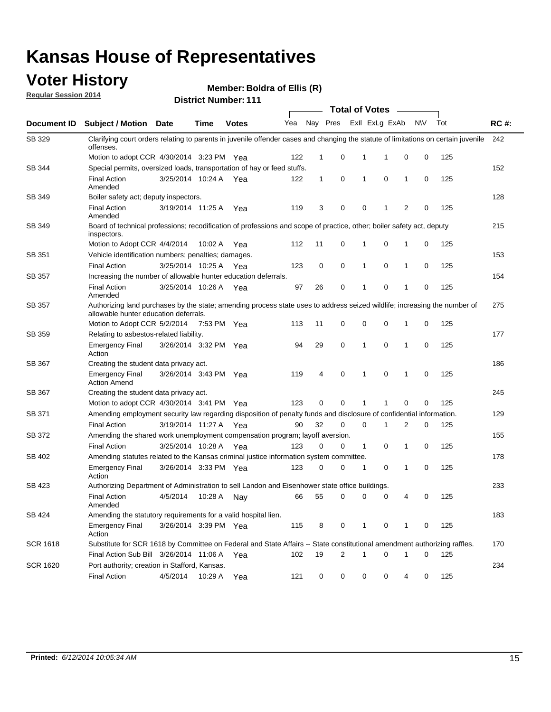#### **Voter History**

**Regular Session 2014**

| <b>District Number: 111</b> |  |
|-----------------------------|--|
|                             |  |

|                    |                                                                                                                                                                    |                       | <b>Total of Votes</b> |              |     |              |                         |              |                |              |           |     |             |
|--------------------|--------------------------------------------------------------------------------------------------------------------------------------------------------------------|-----------------------|-----------------------|--------------|-----|--------------|-------------------------|--------------|----------------|--------------|-----------|-----|-------------|
| <b>Document ID</b> | <b>Subject / Motion Date</b>                                                                                                                                       |                       | Time                  | <b>Votes</b> | Yea |              | Nay Pres                |              | Exll ExLg ExAb |              | <b>NV</b> | Tot | <b>RC#:</b> |
| SB 329             | Clarifying court orders relating to parents in juvenile offender cases and changing the statute of limitations on certain juvenile<br>offenses.                    |                       |                       |              |     |              |                         |              |                |              |           |     | 242         |
|                    | Motion to adopt CCR 4/30/2014 3:23 PM Yea                                                                                                                          |                       |                       |              | 122 | $\mathbf 1$  | 0                       | 1            | -1             | 0            | 0         | 125 |             |
| SB 344             | Special permits, oversized loads, transportation of hay or feed stuffs.                                                                                            |                       |                       |              |     |              |                         |              |                |              |           |     | 152         |
|                    | <b>Final Action</b><br>Amended                                                                                                                                     | 3/25/2014 10:24 A     |                       | Yea          | 122 | $\mathbf{1}$ | 0                       | 1            | 0              | $\mathbf{1}$ | 0         | 125 |             |
| <b>SB 349</b>      | Boiler safety act; deputy inspectors.                                                                                                                              |                       |                       |              |     |              |                         |              |                |              |           |     | 128         |
|                    | <b>Final Action</b><br>Amended                                                                                                                                     | 3/19/2014 11:25 A     |                       | Yea          | 119 | 3            | 0                       | 0            | 1              | 2            | 0         | 125 |             |
| SB 349             | Board of technical professions; recodification of professions and scope of practice, other; boiler safety act, deputy<br>inspectors.                               |                       |                       |              |     |              |                         |              |                |              |           |     | 215         |
|                    | Motion to Adopt CCR 4/4/2014                                                                                                                                       |                       | 10:02 A               | Yea          | 112 | 11           | 0                       | 1            | 0              | 1            | 0         | 125 |             |
| SB 351             | Vehicle identification numbers; penalties; damages.                                                                                                                |                       |                       |              |     |              |                         |              |                |              |           |     | 153         |
|                    | <b>Final Action</b>                                                                                                                                                | 3/25/2014 10:25 A     |                       | Yea          | 123 | 0            | 0                       | 1            | 0              | 1            | 0         | 125 |             |
| SB 357             | Increasing the number of allowable hunter education deferrals.                                                                                                     |                       |                       |              |     |              |                         |              |                |              |           |     | 154         |
|                    | <b>Final Action</b><br>Amended                                                                                                                                     | 3/25/2014 10:26 A     |                       | Yea          | 97  | 26           | 0                       | $\mathbf{1}$ | 0              | 1            | 0         | 125 |             |
| SB 357             | Authorizing land purchases by the state; amending process state uses to address seized wildlife; increasing the number of<br>allowable hunter education deferrals. |                       |                       |              |     |              |                         |              |                |              |           |     | 275         |
|                    | Motion to Adopt CCR 5/2/2014                                                                                                                                       |                       | 7:53 PM Yea           |              | 113 | 11           | 0                       | 0            | $\mathbf 0$    | 1            | 0         | 125 |             |
| SB 359             | Relating to asbestos-related liability.                                                                                                                            |                       |                       |              |     |              |                         |              |                |              |           |     | 177         |
|                    | <b>Emergency Final</b><br>Action                                                                                                                                   | 3/26/2014 3:32 PM Yea |                       |              | 94  | 29           | 0                       | 1            | $\Omega$       | 1            | 0         | 125 |             |
| <b>SB 367</b>      | Creating the student data privacy act.                                                                                                                             |                       |                       |              |     |              |                         |              |                |              |           |     | 186         |
|                    | <b>Emergency Final</b><br><b>Action Amend</b>                                                                                                                      | 3/26/2014 3:43 PM Yea |                       |              | 119 | 4            | 0                       | 1            | 0              | 1            | 0         | 125 |             |
| SB 367             | Creating the student data privacy act.                                                                                                                             |                       |                       |              |     |              |                         |              |                |              |           |     | 245         |
|                    | Motion to adopt CCR 4/30/2014 3:41 PM Yea                                                                                                                          |                       |                       |              | 123 | 0            | 0                       | 1            | 1              | 0            | 0         | 125 |             |
| SB 371             | Amending employment security law regarding disposition of penalty funds and disclosure of confidential information.                                                |                       |                       |              |     |              |                         |              |                |              |           |     | 129         |
|                    | <b>Final Action</b>                                                                                                                                                | 3/19/2014 11:27 A     |                       | Yea          | 90  | 32           | 0                       | $\mathbf 0$  | 1              | 2            | 0         | 125 |             |
| SB 372             | Amending the shared work unemployment compensation program; layoff aversion.                                                                                       |                       |                       |              |     |              |                         |              |                |              |           |     | 155         |
|                    | <b>Final Action</b>                                                                                                                                                | 3/25/2014 10:28 A     |                       | Yea          | 123 | 0            | 0                       | 1            | 0              | 1            | 0         | 125 |             |
| SB 402             | Amending statutes related to the Kansas criminal justice information system committee.                                                                             |                       |                       |              |     |              |                         |              |                |              |           |     | 178         |
|                    | <b>Emergency Final</b><br>Action                                                                                                                                   | 3/26/2014 3:33 PM Yea |                       |              | 123 | 0            | 0                       | 1            | 0              | $\mathbf{1}$ | 0         | 125 |             |
| SB 423             | Authorizing Department of Administration to sell Landon and Eisenhower state office buildings.                                                                     |                       |                       |              |     |              |                         |              |                |              |           |     | 233         |
|                    | <b>Final Action</b><br>Amended                                                                                                                                     | 4/5/2014              | 10:28 A               | Nay          | 66  | 55           | 0                       | 0            | 0              | 4            | 0         | 125 |             |
| SB 424             | Amending the statutory requirements for a valid hospital lien.                                                                                                     |                       |                       |              |     |              |                         |              |                |              |           |     | 183         |
|                    | <b>Emergency Final</b><br>Action                                                                                                                                   | 3/26/2014 3:39 PM Yea |                       |              | 115 | 8            | 0                       | 1            | 0              | 1            | 0         | 125 |             |
| <b>SCR 1618</b>    | Substitute for SCR 1618 by Committee on Federal and State Affairs -- State constitutional amendment authorizing raffles.                                           |                       |                       |              |     |              |                         |              |                |              |           |     | 170         |
|                    | Final Action Sub Bill 3/26/2014 11:06 A Yea                                                                                                                        |                       |                       |              | 102 | 19           | $\overline{\mathbf{c}}$ | 1            | 0              | 1            | 0         | 125 |             |
| <b>SCR 1620</b>    | Port authority; creation in Stafford, Kansas.                                                                                                                      |                       |                       |              |     |              |                         |              |                |              |           |     | 234         |
|                    | <b>Final Action</b>                                                                                                                                                | 4/5/2014              | 10:29 A               | Yea          | 121 | 0            | 0                       | 0            | 0              | 4            | 0         | 125 |             |